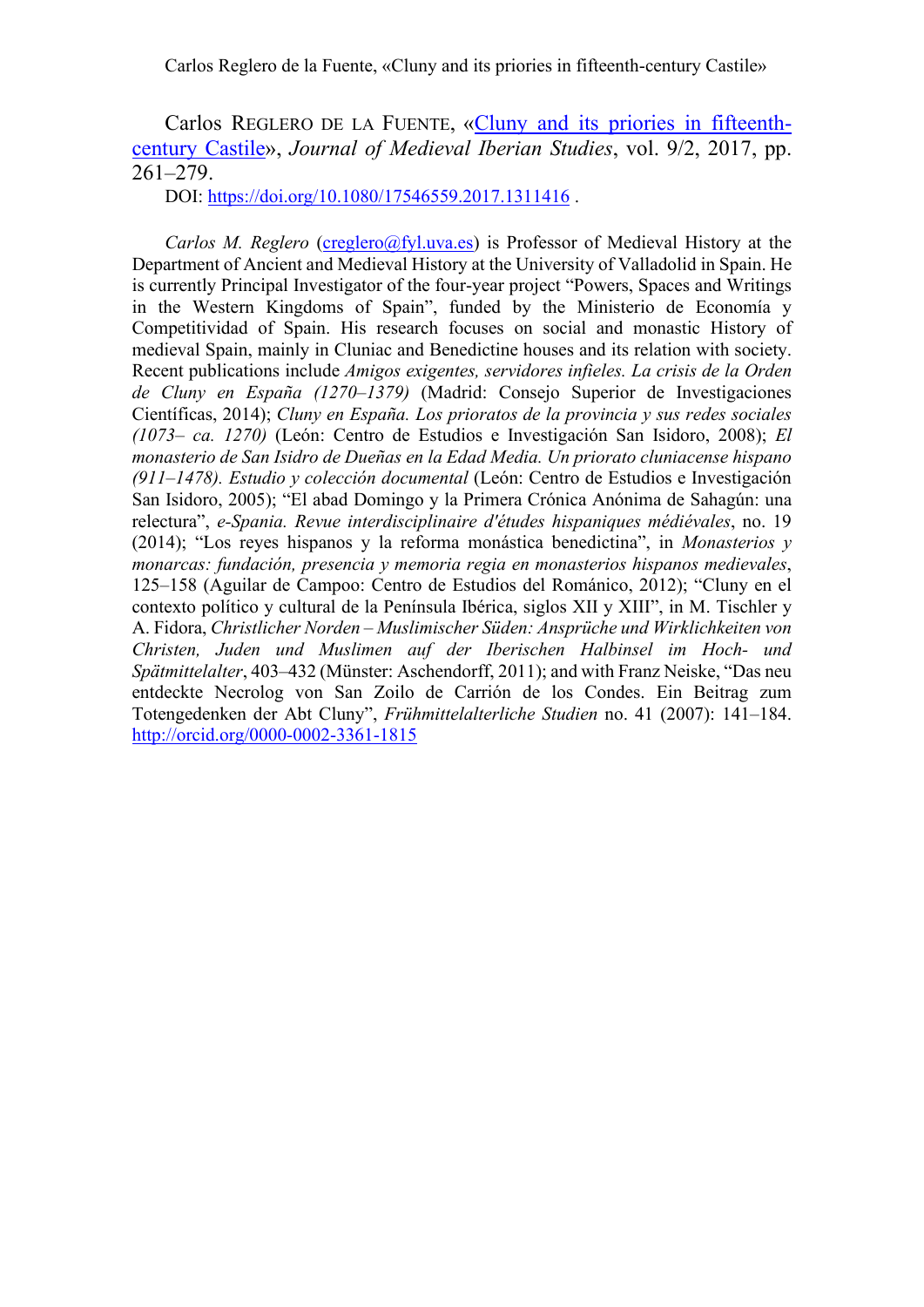# Carlos REGLERO DE LA FUENTE, [«Cluny and its priories in fifteenth](http://www.tandfonline.com/doi/full/10.1080/17546559.2017.1311416)[century Castile»](http://www.tandfonline.com/doi/full/10.1080/17546559.2017.1311416), *Journal of Medieval Iberian Studies*, vol. 9/2, 2017, pp. 261–279.

DOI: <https://doi.org/10.1080/17546559.2017.1311416> .

*Carlos M. Reglero* [\(creglero@fyl.uva.es\)](mailto:creglero@fyl.uva.es) is Professor of Medieval History at the Department of Ancient and Medieval History at the University of Valladolid in Spain. He is currently Principal Investigator of the four-year project "Powers, Spaces and Writings in the Western Kingdoms of Spain", funded by the Ministerio de Economía y Competitividad of Spain. His research focuses on social and monastic History of medieval Spain, mainly in Cluniac and Benedictine houses and its relation with society. Recent publications include *Amigos exigentes, servidores infieles. La crisis de la Orden de Cluny en España (1270–1379)* (Madrid: Consejo Superior de Investigaciones Científicas, 2014); *Cluny en España. Los prioratos de la provincia y sus redes sociales (1073– ca. 1270)* (León: Centro de Estudios e Investigación San Isidoro, 2008); *El monasterio de San Isidro de Dueñas en la Edad Media. Un priorato cluniacense hispano (911–1478). Estudio y colección documental* (León: Centro de Estudios e Investigación San Isidoro, 2005); "El abad Domingo y la Primera Crónica Anónima de Sahagún: una relectura", *e-Spania. Revue interdisciplinaire d'études hispaniques médiévales*, no. 19 (2014); "Los reyes hispanos y la reforma monástica benedictina", in *Monasterios y monarcas: fundación, presencia y memoria regia en monasterios hispanos medievales*, 125–158 (Aguilar de Campoo: Centro de Estudios del Románico, 2012); "Cluny en el contexto político y cultural de la Península Ibérica, siglos XII y XIII", in M. Tischler y A. Fidora, *Christlicher Norden – Muslimischer Süden: Ansprüche und Wirklichkeiten von Christen, Juden und Muslimen auf der Iberischen Halbinsel im Hoch- und Spätmittelalter*, 403–432 (Münster: Aschendorff, 2011); and with Franz Neiske, "Das neu entdeckte Necrolog von San Zoilo de Carrión de los Condes. Ein Beitrag zum Totengedenken der Abt Cluny", *Frühmittelalterliche Studien* no. 41 (2007): 141–184. <http://orcid.org/0000-0002-3361-1815>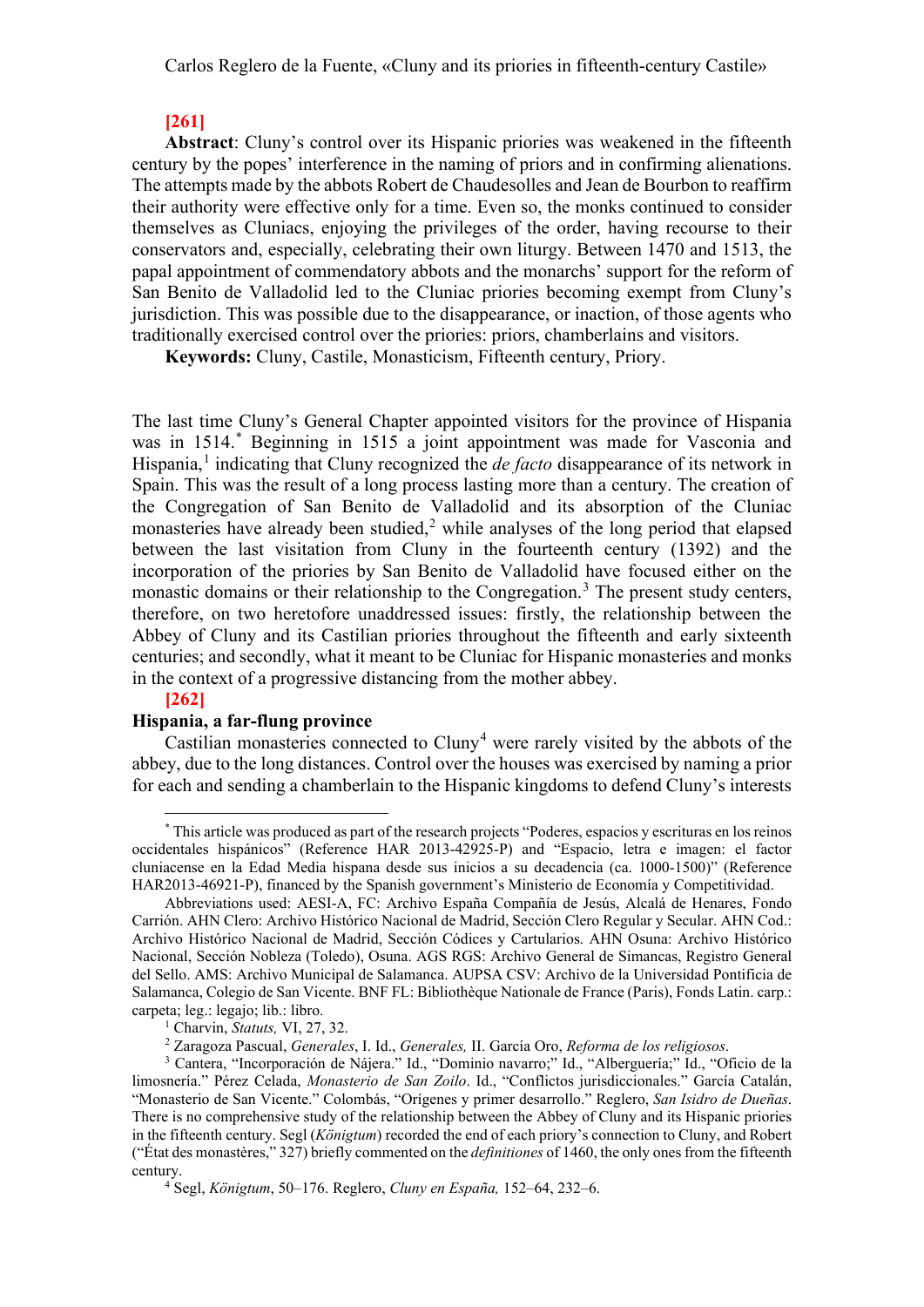## **[261]**

**Abstract**: Cluny's control over its Hispanic priories was weakened in the fifteenth century by the popes' interference in the naming of priors and in confirming alienations. The attempts made by the abbots Robert de Chaudesolles and Jean de Bourbon to reaffirm their authority were effective only for a time. Even so, the monks continued to consider themselves as Cluniacs, enjoying the privileges of the order, having recourse to their conservators and, especially, celebrating their own liturgy. Between 1470 and 1513, the papal appointment of commendatory abbots and the monarchs' support for the reform of San Benito de Valladolid led to the Cluniac priories becoming exempt from Cluny's jurisdiction. This was possible due to the disappearance, or inaction, of those agents who traditionally exercised control over the priories: priors, chamberlains and visitors.

**Keywords:** Cluny, Castile, Monasticism, Fifteenth century, Priory.

The last time Cluny's General Chapter appointed visitors for the province of Hispania was in 1514. [\\*](#page-1-0) Beginning in 1515 a joint appointment was made for Vasconia and Hispania, [1](#page-1-1) indicating that Cluny recognized the *de facto* disappearance of its network in Spain. This was the result of a long process lasting more than a century. The creation of the Congregation of San Benito de Valladolid and its absorption of the Cluniac monasteries have already been studied,<sup>[2](#page-1-2)</sup> while analyses of the long period that elapsed between the last visitation from Cluny in the fourteenth century (1392) and the incorporation of the priories by San Benito de Valladolid have focused either on the monastic domains or their relationship to the Congregation.<sup>[3](#page-1-3)</sup> The present study centers, therefore, on two heretofore unaddressed issues: firstly, the relationship between the Abbey of Cluny and its Castilian priories throughout the fifteenth and early sixteenth centuries; and secondly, what it meant to be Cluniac for Hispanic monasteries and monks in the context of a progressive distancing from the mother abbey.

#### **[262]**

# **Hispania, a far-flung province**

Castilian monasteries connected to  $Cluny<sup>4</sup>$  $Cluny<sup>4</sup>$  $Cluny<sup>4</sup>$  were rarely visited by the abbots of the abbey, due to the long distances. Control over the houses was exercised by naming a prior for each and sending a chamberlain to the Hispanic kingdoms to defend Cluny's interests

<span id="page-1-0"></span><sup>\*</sup> This article was produced as part of the research projects "Poderes, espacios y escrituras en los reinos occidentales hispánicos" (Reference HAR 2013-42925-P) and "Espacio, letra e imagen: el factor cluniacense en la Edad Media hispana desde sus inicios a su decadencia (ca. 1000-1500)" (Reference HAR2013-46921-P), financed by the Spanish government's Ministerio de Economía y Competitividad.

Abbreviations used: AESI-A, FC: Archivo España Compañía de Jesús, Alcalá de Henares, Fondo Carrión. AHN Clero: Archivo Histórico Nacional de Madrid, Sección Clero Regular y Secular. AHN Cod.: Archivo Histórico Nacional de Madrid, Sección Códices y Cartularios. AHN Osuna: Archivo Histórico Nacional, Sección Nobleza (Toledo), Osuna. AGS RGS: Archivo General de Simancas, Registro General del Sello. AMS: Archivo Municipal de Salamanca. AUPSA CSV: Archivo de la Universidad Pontificia de Salamanca, Colegio de San Vicente. BNF FL: Bibliothèque Nationale de France (Paris), Fonds Latin. carp.: carpeta; leg.: legajo; lib.: libro.

<sup>&</sup>lt;sup>1</sup> Charvin, *Statuts, VI*, 27, 32.<br><sup>2</sup> Zaragoza Pascual, *Generales, I. Id., Generales, II. García Oro, Reforma de los religiosos.* 

<span id="page-1-3"></span><span id="page-1-2"></span><span id="page-1-1"></span><sup>&</sup>lt;sup>3</sup> Cantera, "Incorporación de Nájera." Id., "Dominio navarro;" Id., "Alberguería;" Id., "Oficio de la limosnería." Pérez Celada, *Monasterio de San Zoilo*. Id., "Conflictos jurisdiccionales." García Catalán, "Monasterio de San Vicente." Colombás, "Orígenes y primer desarrollo." Reglero, *San Isidro de Dueñas*. There is no comprehensive study of the relationship between the Abbey of Cluny and its Hispanic priories in the fifteenth century. Segl (*Königtum*) recorded the end of each priory's connection to Cluny, and Robert ("État des monastères," 327) briefly commented on the *definitiones* of 1460, the only ones from the fifteenth century.

<span id="page-1-4"></span><sup>4</sup> Segl, *Königtum*, 50–176. Reglero, *Cluny en España,* 152–64, 232–6.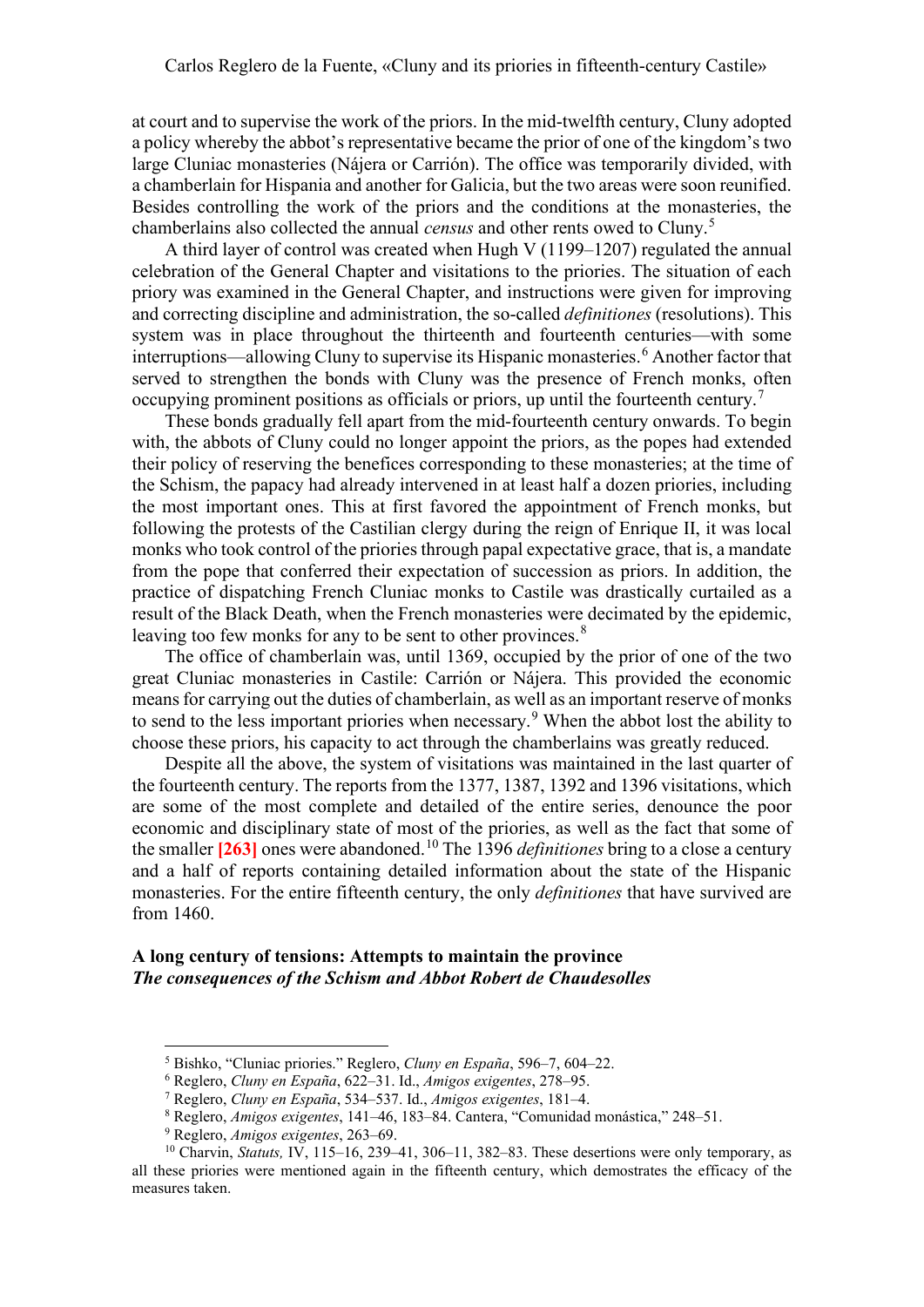at court and to supervise the work of the priors. In the mid-twelfth century, Cluny adopted a policy whereby the abbot's representative became the prior of one of the kingdom's two large Cluniac monasteries (Nájera or Carrión). The office was temporarily divided, with a chamberlain for Hispania and another for Galicia, but the two areas were soon reunified. Besides controlling the work of the priors and the conditions at the monasteries, the chamberlains also collected the annual *census* and other rents owed to Cluny.[5](#page-2-0)

A third layer of control was created when Hugh V (1199–1207) regulated the annual celebration of the General Chapter and visitations to the priories. The situation of each priory was examined in the General Chapter, and instructions were given for improving and correcting discipline and administration, the so-called *definitiones* (resolutions). This system was in place throughout the thirteenth and fourteenth centuries—with some interruptions—allowing Cluny to supervise its Hispanic monasteries. [6](#page-2-1) Another factor that served to strengthen the bonds with Cluny was the presence of French monks, often occupying prominent positions as officials or priors, up until the fourteenth century.<sup>[7](#page-2-2)</sup>

These bonds gradually fell apart from the mid-fourteenth century onwards. To begin with, the abbots of Cluny could no longer appoint the priors, as the popes had extended their policy of reserving the benefices corresponding to these monasteries; at the time of the Schism, the papacy had already intervened in at least half a dozen priories, including the most important ones. This at first favored the appointment of French monks, but following the protests of the Castilian clergy during the reign of Enrique II, it was local monks who took control of the priories through papal expectative grace, that is, a mandate from the pope that conferred their expectation of succession as priors. In addition, the practice of dispatching French Cluniac monks to Castile was drastically curtailed as a result of the Black Death, when the French monasteries were decimated by the epidemic, leaving too few monks for any to be sent to other provinces.<sup>[8](#page-2-3)</sup>

The office of chamberlain was, until 1369, occupied by the prior of one of the two great Cluniac monasteries in Castile: Carrión or Nájera. This provided the economic means for carrying out the duties of chamberlain, as well as an important reserve of monks to send to the less important priories when necessary.<sup>[9](#page-2-4)</sup> When the abbot lost the ability to choose these priors, his capacity to act through the chamberlains was greatly reduced.

Despite all the above, the system of visitations was maintained in the last quarter of the fourteenth century. The reports from the 1377, 1387, 1392 and 1396 visitations, which are some of the most complete and detailed of the entire series, denounce the poor economic and disciplinary state of most of the priories, as well as the fact that some of the smaller **[263]** ones were abandoned. [10](#page-2-5) The 1396 *definitiones* bring to a close a century and a half of reports containing detailed information about the state of the Hispanic monasteries. For the entire fifteenth century, the only *definitiones* that have survived are from 1460.

# **A long century of tensions: Attempts to maintain the province** *The consequences of the Schism and Abbot Robert de Chaudesolles*

<sup>5</sup> Bishko, "Cluniac priories." Reglero, *Cluny en España*, 596–7, 604–22.

<sup>6</sup> Reglero, *Cluny en España*, 622–31. Id., *Amigos exigentes*, 278–95.

<sup>7</sup> Reglero, *Cluny en España*, 534–537. Id., *Amigos exigentes*, 181–4.

<sup>8</sup> Reglero, *Amigos exigentes*, 141–46, 183–84. Cantera, "Comunidad monástica," 248–51.

<sup>9</sup> Reglero, *Amigos exigentes*, 263–69.

<span id="page-2-5"></span><span id="page-2-4"></span><span id="page-2-3"></span><span id="page-2-2"></span><span id="page-2-1"></span><span id="page-2-0"></span><sup>&</sup>lt;sup>10</sup> Charvin, *Statuts*, IV, 115–16, 239–41, 306–11, 382–83. These desertions were only temporary, as all these priories were mentioned again in the fifteenth century, which demostrates the efficacy of the measures taken.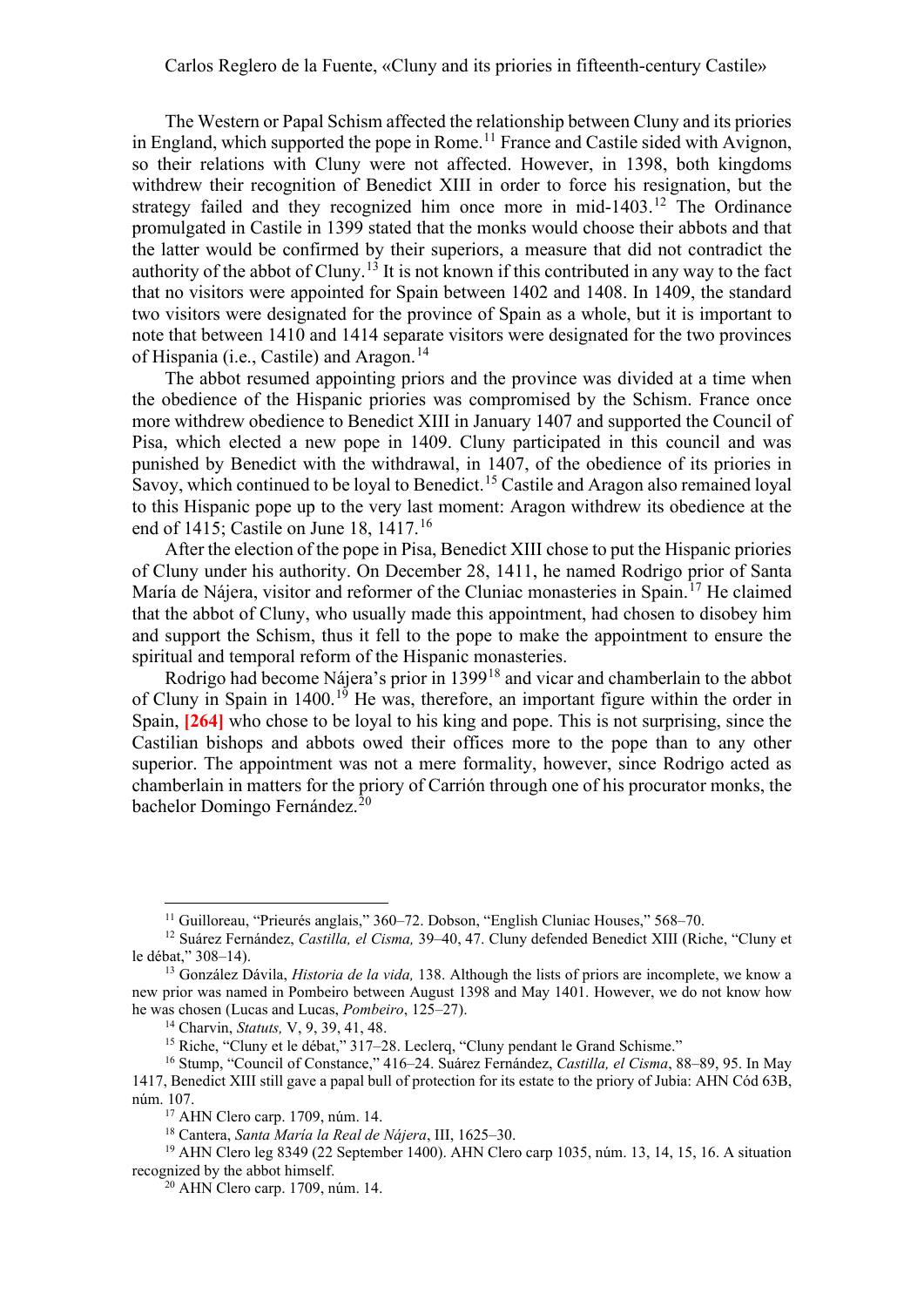The Western or Papal Schism affected the relationship between Cluny and its priories in England, which supported the pope in Rome.<sup>[11](#page-3-0)</sup> France and Castile sided with Avignon, so their relations with Cluny were not affected. However, in 1398, both kingdoms withdrew their recognition of Benedict XIII in order to force his resignation, but the strategy failed and they recognized him once more in mid-1403.<sup>[12](#page-3-1)</sup> The Ordinance promulgated in Castile in 1399 stated that the monks would choose their abbots and that the latter would be confirmed by their superiors, a measure that did not contradict the authority of the abbot of Cluny.<sup>[13](#page-3-2)</sup> It is not known if this contributed in any way to the fact that no visitors were appointed for Spain between 1402 and 1408. In 1409, the standard two visitors were designated for the province of Spain as a whole, but it is important to note that between 1410 and 1414 separate visitors were designated for the two provinces of Hispania (i.e., Castile) and Aragon.<sup>[14](#page-3-3)</sup>

The abbot resumed appointing priors and the province was divided at a time when the obedience of the Hispanic priories was compromised by the Schism. France once more withdrew obedience to Benedict XIII in January 1407 and supported the Council of Pisa, which elected a new pope in 1409. Cluny participated in this council and was punished by Benedict with the withdrawal, in 1407, of the obedience of its priories in Savoy, which continued to be loyal to Benedict. [15](#page-3-4) Castile and Aragon also remained loyal to this Hispanic pope up to the very last moment: Aragon withdrew its obedience at the end of 1415; Castile on June 18, 1417.<sup>[16](#page-3-5)</sup>

After the election of the pope in Pisa, Benedict XIII chose to put the Hispanic priories of Cluny under his authority. On December 28, 1411, he named Rodrigo prior of Santa María de Nájera, visitor and reformer of the Cluniac monasteries in Spain.<sup>[17](#page-3-6)</sup> He claimed that the abbot of Cluny, who usually made this appointment, had chosen to disobey him and support the Schism, thus it fell to the pope to make the appointment to ensure the spiritual and temporal reform of the Hispanic monasteries.

Rodrigo had become Nájera's prior in 1399[18](#page-3-7) and vicar and chamberlain to the abbot of Cluny in Spain in 1400.<sup>[19](#page-3-8)</sup> He was, therefore, an important figure within the order in Spain, **[264]** who chose to be loyal to his king and pope. This is not surprising, since the Castilian bishops and abbots owed their offices more to the pope than to any other superior. The appointment was not a mere formality, however, since Rodrigo acted as chamberlain in matters for the priory of Carrión through one of his procurator monks, the bachelor Domingo Fernández. [20](#page-3-9)

<sup>&</sup>lt;sup>11</sup> Guilloreau, "Prieurés anglais," 360–72. Dobson, "English Cluniac Houses," 568–70.

<span id="page-3-1"></span><span id="page-3-0"></span><sup>12</sup> Suárez Fernández, *Castilla, el Cisma,* 39–40, 47. Cluny defended Benedict XIII (Riche, "Cluny et le débat," 308–14).

<span id="page-3-2"></span><sup>13</sup> González Dávila, *Historia de la vida,* 138. Although the lists of priors are incomplete, we know a new prior was named in Pombeiro between August 1398 and May 1401. However, we do not know how he was chosen (Lucas and Lucas, *Pombeiro*, 125–27).

<sup>14</sup> Charvin, *Statuts,* V, 9, 39, 41, 48.

<sup>15</sup> Riche, "Cluny et le débat," 317–28. Leclerq, "Cluny pendant le Grand Schisme."

<span id="page-3-5"></span><span id="page-3-4"></span><span id="page-3-3"></span><sup>16</sup> Stump, "Council of Constance," 416–24. Suárez Fernández, *Castilla, el Cisma*, 88–89, 95. In May 1417, Benedict XIII still gave a papal bull of protection for its estate to the priory of Jubia: AHN Cód 63B, núm. 107.

<sup>17</sup> AHN Clero carp. 1709, núm. 14.

<sup>18</sup> Cantera, *Santa María la Real de Nájera*, III, 1625–30.

<span id="page-3-9"></span><span id="page-3-8"></span><span id="page-3-7"></span><span id="page-3-6"></span><sup>19</sup> AHN Clero leg 8349 (22 September 1400). AHN Clero carp 1035, núm. 13, 14, 15, 16. A situation recognized by the abbot himself.

<sup>20</sup> AHN Clero carp. 1709, núm. 14.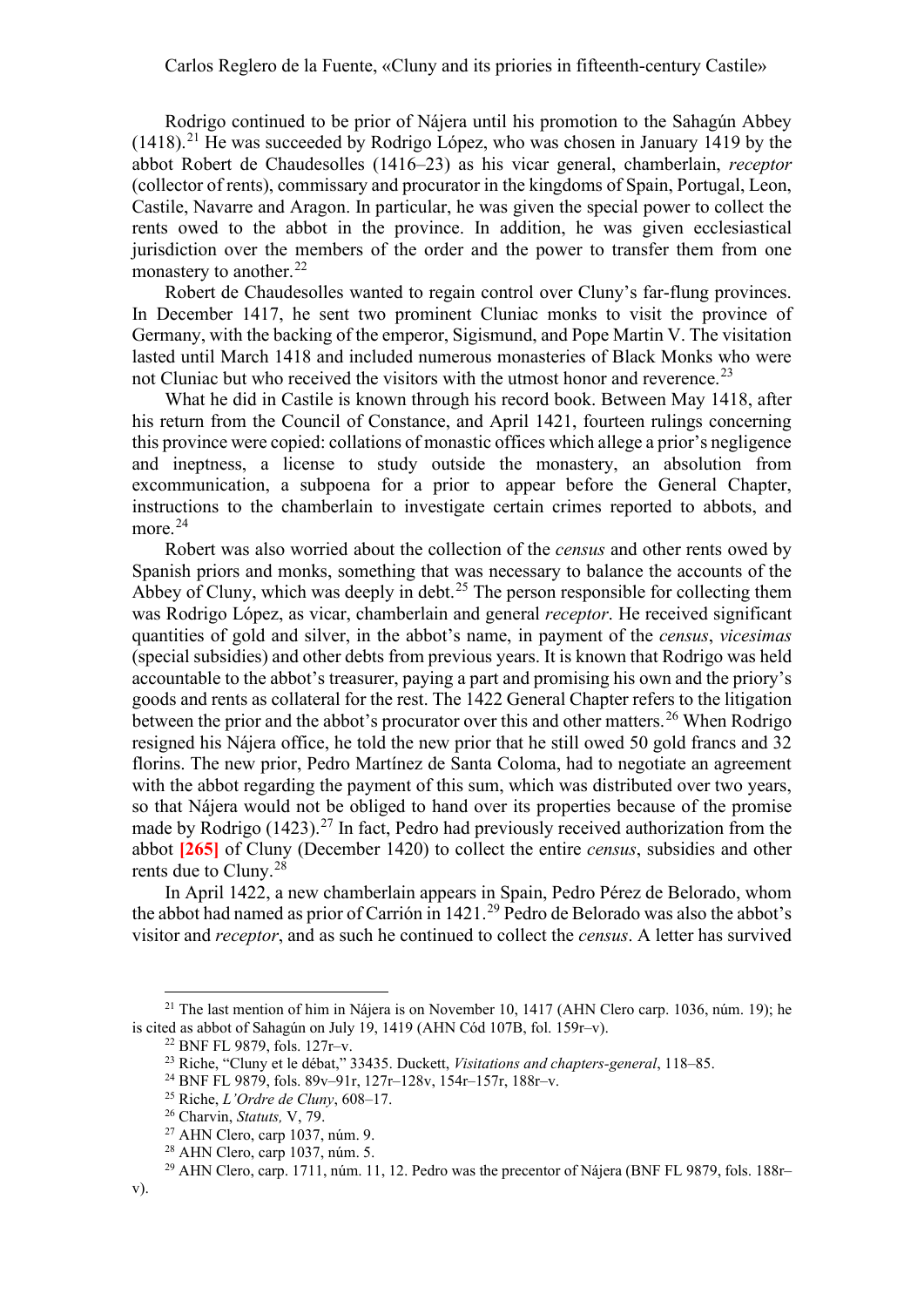Rodrigo continued to be prior of Nájera until his promotion to the Sahagún Abbey  $(1418).<sup>21</sup>$  $(1418).<sup>21</sup>$  $(1418).<sup>21</sup>$  He was succeeded by Rodrigo López, who was chosen in January 1419 by the abbot Robert de Chaudesolles (1416–23) as his vicar general, chamberlain, *receptor* (collector of rents), commissary and procurator in the kingdoms of Spain, Portugal, Leon, Castile, Navarre and Aragon. In particular, he was given the special power to collect the rents owed to the abbot in the province. In addition, he was given ecclesiastical jurisdiction over the members of the order and the power to transfer them from one monastery to another.<sup>[22](#page-4-1)</sup>

Robert de Chaudesolles wanted to regain control over Cluny's far-flung provinces. In December 1417, he sent two prominent Cluniac monks to visit the province of Germany, with the backing of the emperor, Sigismund, and Pope Martin V. The visitation lasted until March 1418 and included numerous monasteries of Black Monks who were not Cluniac but who received the visitors with the utmost honor and reverence.<sup>[23](#page-4-2)</sup>

What he did in Castile is known through his record book. Between May 1418, after his return from the Council of Constance, and April 1421, fourteen rulings concerning this province were copied: collations of monastic offices which allege a prior's negligence and ineptness, a license to study outside the monastery, an absolution from excommunication, a subpoena for a prior to appear before the General Chapter, instructions to the chamberlain to investigate certain crimes reported to abbots, and more.<sup>[24](#page-4-3)</sup>

Robert was also worried about the collection of the *census* and other rents owed by Spanish priors and monks, something that was necessary to balance the accounts of the Abbey of Cluny, which was deeply in debt.<sup>[25](#page-4-4)</sup> The person responsible for collecting them was Rodrigo López, as vicar, chamberlain and general *receptor*. He received significant quantities of gold and silver, in the abbot's name, in payment of the *census*, *vicesimas* (special subsidies) and other debts from previous years. It is known that Rodrigo was held accountable to the abbot's treasurer, paying a part and promising his own and the priory's goods and rents as collateral for the rest. The 1422 General Chapter refers to the litigation between the prior and the abbot's procurator over this and other matters.<sup>[26](#page-4-5)</sup> When Rodrigo resigned his Nájera office, he told the new prior that he still owed 50 gold francs and 32 florins. The new prior, Pedro Martínez de Santa Coloma, had to negotiate an agreement with the abbot regarding the payment of this sum, which was distributed over two years, so that Nájera would not be obliged to hand over its properties because of the promise made by Rodrigo  $(1423)^{27}$  $(1423)^{27}$  $(1423)^{27}$  In fact, Pedro had previously received authorization from the abbot **[265]** of Cluny (December 1420) to collect the entire *census*, subsidies and other rents due to Cluny. [28](#page-4-7)

In April 1422, a new chamberlain appears in Spain, Pedro Pérez de Belorado, whom the abbot had named as prior of Carrión in 1421.<sup>[29](#page-4-8)</sup> Pedro de Belorado was also the abbot's visitor and *receptor*, and as such he continued to collect the *census*. A letter has survived

<span id="page-4-4"></span><span id="page-4-3"></span><span id="page-4-2"></span><span id="page-4-1"></span><span id="page-4-0"></span><sup>&</sup>lt;sup>21</sup> The last mention of him in Nájera is on November 10, 1417 (AHN Clero carp. 1036, núm. 19); he is cited as abbot of Sahagún on July 19, 1419 (AHN Cód 107B, fol. 159r–v).

<sup>22</sup> BNF FL 9879, fols. 127r–v. 23 Riche, "Cluny et le débat," 33435. Duckett, *Visitations and chapters-general*, 118–85.

<sup>24</sup> BNF FL 9879, fols. 89v–91r, 127r–128v, 154r–157r, 188r–v.

<sup>25</sup> Riche, *L'Ordre de Cluny*, 608–17.

<span id="page-4-5"></span><sup>26</sup> Charvin, *Statuts,* V, 79.

<sup>27</sup> AHN Clero, carp 1037, núm. 9.

<sup>28</sup> AHN Clero, carp 1037, núm. 5.

<span id="page-4-8"></span><span id="page-4-7"></span><span id="page-4-6"></span><sup>&</sup>lt;sup>29</sup> AHN Clero, carp. 1711, núm. 11, 12. Pedro was the precentor of Nájera (BNF FL 9879, fols. 188r–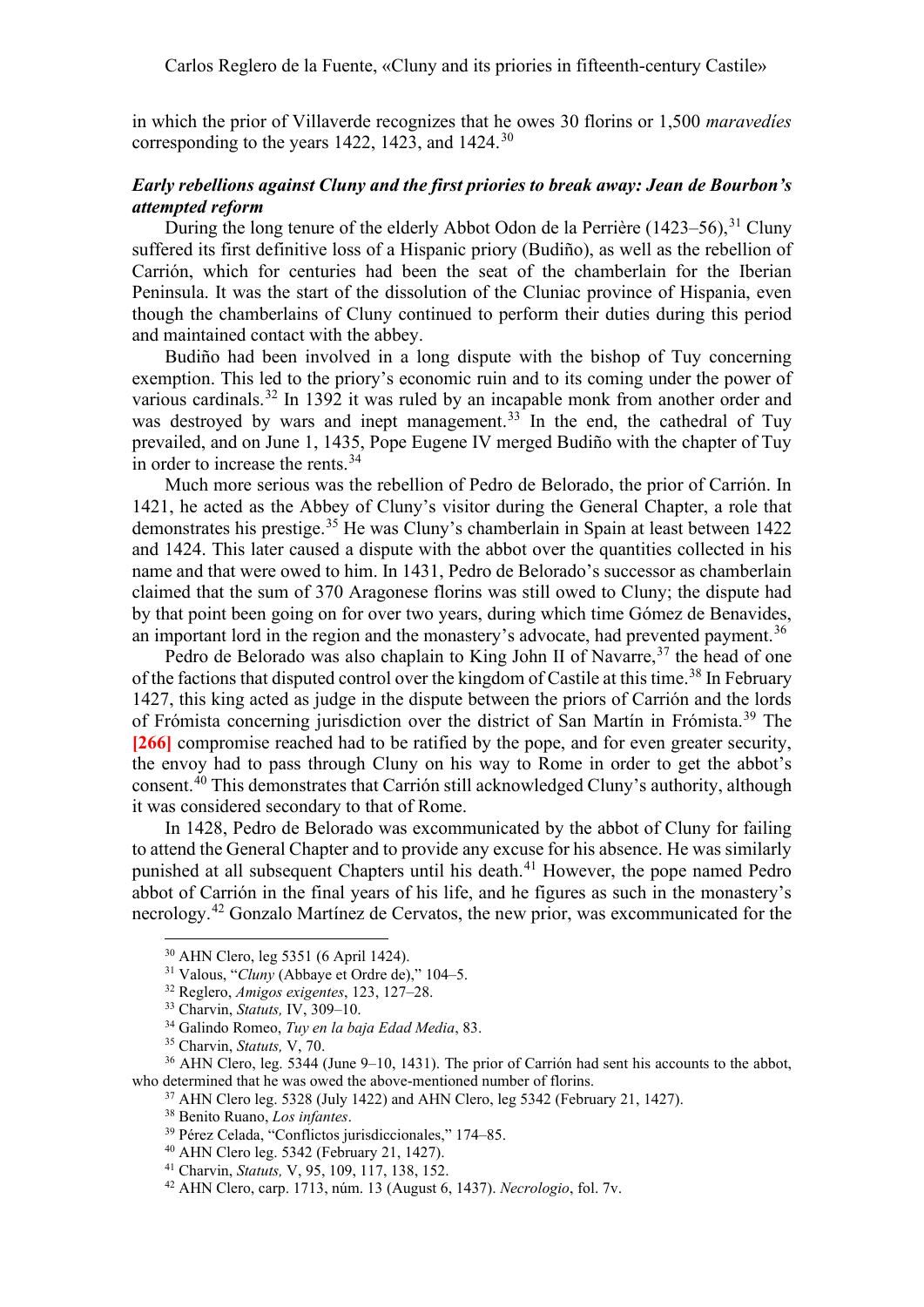in which the prior of Villaverde recognizes that he owes 30 florins or 1,500 *maravedíes* corresponding to the years 1422, 1423, and 1424. $30$ 

# *Early rebellions against Cluny and the first priories to break away: Jean de Bourbon's attempted reform*

During the long tenure of the elderly Abbot Odon de la Perrière (1423–56),<sup>[31](#page-5-1)</sup> Cluny suffered its first definitive loss of a Hispanic priory (Budiño), as well as the rebellion of Carrión, which for centuries had been the seat of the chamberlain for the Iberian Peninsula. It was the start of the dissolution of the Cluniac province of Hispania, even though the chamberlains of Cluny continued to perform their duties during this period and maintained contact with the abbey.

Budiño had been involved in a long dispute with the bishop of Tuy concerning exemption. This led to the priory's economic ruin and to its coming under the power of various cardinals.<sup>[32](#page-5-2)</sup> In 1392 it was ruled by an incapable monk from another order and was destroyed by wars and inept management.<sup>[33](#page-5-3)</sup> In the end, the cathedral of Tuy prevailed, and on June 1, 1435, Pope Eugene IV merged Budiño with the chapter of Tuy in order to increase the rents.<sup>[34](#page-5-4)</sup>

Much more serious was the rebellion of Pedro de Belorado, the prior of Carrión. In 1421, he acted as the Abbey of Cluny's visitor during the General Chapter, a role that demonstrates his prestige.<sup>[35](#page-5-5)</sup> He was Cluny's chamberlain in Spain at least between 1422 and 1424. This later caused a dispute with the abbot over the quantities collected in his name and that were owed to him. In 1431, Pedro de Belorado's successor as chamberlain claimed that the sum of 370 Aragonese florins was still owed to Cluny; the dispute had by that point been going on for over two years, during which time Gómez de Benavides, an important lord in the region and the monastery's advocate, had prevented payment.<sup>[36](#page-5-6)</sup>

Pedro de Belorado was also chaplain to King John II of Navarre,<sup>[37](#page-5-7)</sup> the head of one of the factions that disputed control over the kingdom of Castile at this time.<sup>[38](#page-5-8)</sup> In February 1427, this king acted as judge in the dispute between the priors of Carrión and the lords of Frómista concerning jurisdiction over the district of San Martín in Frómista.<sup>[39](#page-5-9)</sup> The **[266]** compromise reached had to be ratified by the pope, and for even greater security, the envoy had to pass through Cluny on his way to Rome in order to get the abbot's consent. [40](#page-5-10) This demonstrates that Carrión still acknowledged Cluny's authority, although it was considered secondary to that of Rome.

In 1428, Pedro de Belorado was excommunicated by the abbot of Cluny for failing to attend the General Chapter and to provide any excuse for his absence. He was similarly punished at all subsequent Chapters until his death. [41](#page-5-11) However, the pope named Pedro abbot of Carrión in the final years of his life, and he figures as such in the monastery's necrology.<sup>[42](#page-5-12)</sup> Gonzalo Martínez de Cervatos, the new prior, was excommunicated for the

<span id="page-5-0"></span><sup>30</sup> AHN Clero, leg 5351 (6 April 1424).

<sup>31</sup> Valous, "*Cluny* (Abbaye et Ordre de)," 104–5.

<sup>32</sup> Reglero, *Amigos exigentes*, 123, 127–28.

<sup>33</sup> Charvin, *Statuts,* IV, 309–10.

<sup>34</sup> Galindo Romeo, *Tuy en la baja Edad Media*, 83.

<sup>35</sup> Charvin, *Statuts,* V, 70.

<span id="page-5-10"></span><span id="page-5-9"></span><span id="page-5-8"></span><span id="page-5-7"></span><span id="page-5-6"></span><span id="page-5-5"></span><span id="page-5-4"></span><span id="page-5-3"></span><span id="page-5-2"></span><span id="page-5-1"></span><sup>&</sup>lt;sup>36</sup> AHN Clero, leg. 5344 (June 9–10, 1431). The prior of Carrión had sent his accounts to the abbot. who determined that he was owed the above-mentioned number of florins.

 $37$  AHN Clero leg. 5328 (July 1422) and AHN Clero, leg 5342 (February 21, 1427).

<sup>38</sup> Benito Ruano, *Los infantes*.

<sup>39</sup> Pérez Celada, "Conflictos jurisdiccionales," 174–85.

<sup>40</sup> AHN Clero leg. 5342 (February 21, 1427).

<span id="page-5-11"></span><sup>41</sup> Charvin, *Statuts,* V, 95, 109, 117, 138, 152.

<span id="page-5-12"></span><sup>42</sup> AHN Clero, carp. 1713, núm. 13 (August 6, 1437). *Necrologio*, fol. 7v.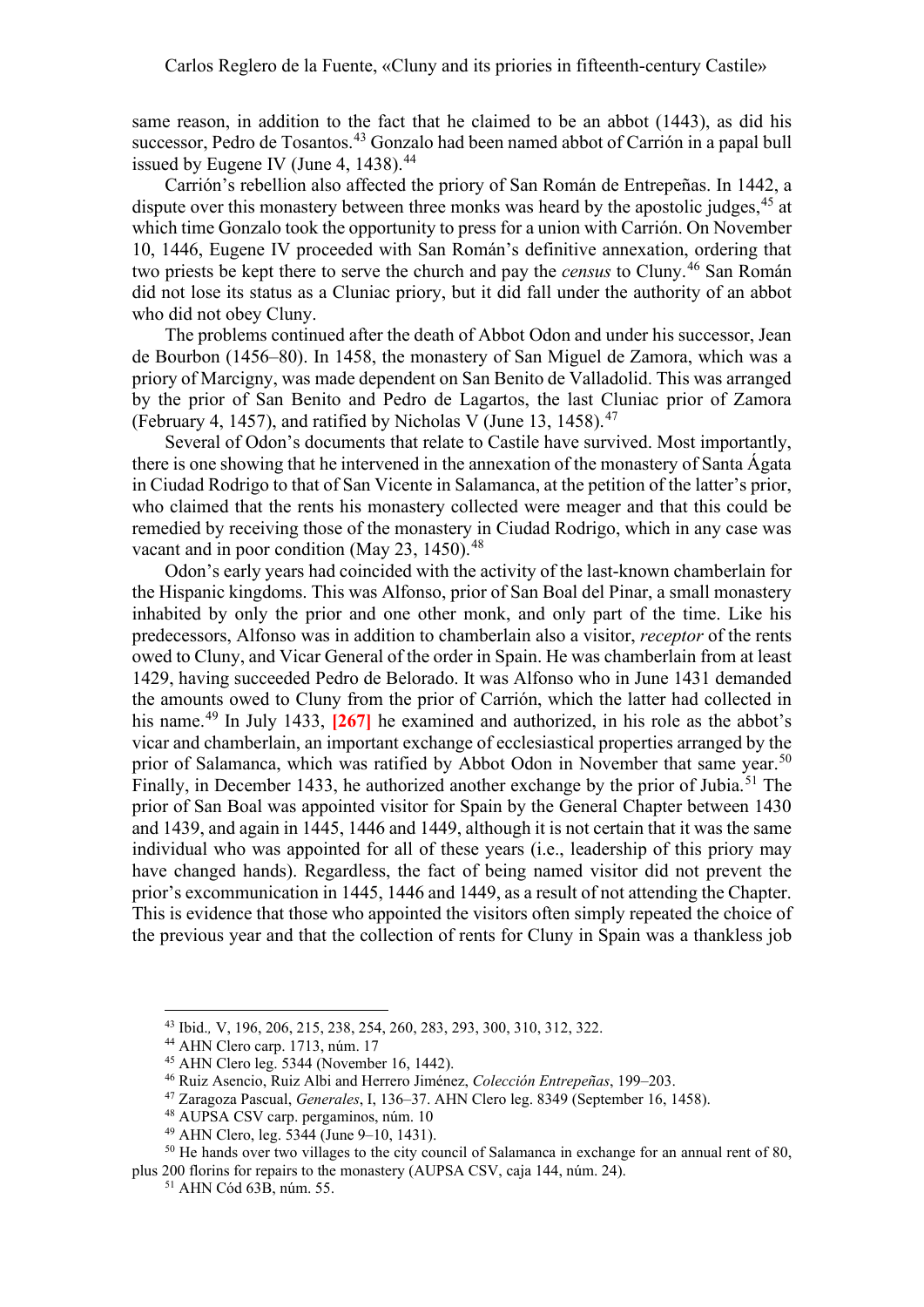same reason, in addition to the fact that he claimed to be an abbot (1443), as did his successor, Pedro de Tosantos.<sup>[43](#page-6-0)</sup> Gonzalo had been named abbot of Carrión in a papal bull issued by Eugene IV (June 4, 1438).<sup>[44](#page-6-1)</sup>

Carrión's rebellion also affected the priory of San Román de Entrepeñas. In 1442, a dispute over this monastery between three monks was heard by the apostolic judges, <sup>[45](#page-6-2)</sup> at which time Gonzalo took the opportunity to press for a union with Carrión. On November 10, 1446, Eugene IV proceeded with San Román's definitive annexation, ordering that two priests be kept there to serve the church and pay the *census* to Cluny. [46](#page-6-3) San Román did not lose its status as a Cluniac priory, but it did fall under the authority of an abbot who did not obey Cluny.

The problems continued after the death of Abbot Odon and under his successor, Jean de Bourbon (1456–80). In 1458, the monastery of San Miguel de Zamora, which was a priory of Marcigny, was made dependent on San Benito de Valladolid. This was arranged by the prior of San Benito and Pedro de Lagartos, the last Cluniac prior of Zamora (February 4, 1457), and ratified by Nicholas V (June 13, 1458). $47$ 

Several of Odon's documents that relate to Castile have survived. Most importantly, there is one showing that he intervened in the annexation of the monastery of Santa Ágata in Ciudad Rodrigo to that of San Vicente in Salamanca, at the petition of the latter's prior, who claimed that the rents his monastery collected were meager and that this could be remedied by receiving those of the monastery in Ciudad Rodrigo, which in any case was vacant and in poor condition (May 23, 1450).<sup>[48](#page-6-5)</sup>

Odon's early years had coincided with the activity of the last-known chamberlain for the Hispanic kingdoms. This was Alfonso, prior of San Boal del Pinar, a small monastery inhabited by only the prior and one other monk, and only part of the time. Like his predecessors, Alfonso was in addition to chamberlain also a visitor, *receptor* of the rents owed to Cluny, and Vicar General of the order in Spain. He was chamberlain from at least 1429, having succeeded Pedro de Belorado. It was Alfonso who in June 1431 demanded the amounts owed to Cluny from the prior of Carrión, which the latter had collected in his name.<sup>[49](#page-6-6)</sup> In July 1433, [267] he examined and authorized, in his role as the abbot's vicar and chamberlain, an important exchange of ecclesiastical properties arranged by the prior of Salamanca, which was ratified by Abbot Odon in November that same year.<sup>[50](#page-6-7)</sup> Finally, in December 1433, he authorized another exchange by the prior of Jubia.<sup>[51](#page-6-8)</sup> The prior of San Boal was appointed visitor for Spain by the General Chapter between 1430 and 1439, and again in 1445, 1446 and 1449, although it is not certain that it was the same individual who was appointed for all of these years (i.e., leadership of this priory may have changed hands). Regardless, the fact of being named visitor did not prevent the prior's excommunication in 1445, 1446 and 1449, as a result of not attending the Chapter. This is evidence that those who appointed the visitors often simply repeated the choice of the previous year and that the collection of rents for Cluny in Spain was a thankless job

<sup>43</sup> Ibid.*,* V, 196, 206, 215, 238, 254, 260, 283, 293, 300, 310, 312, 322.

<span id="page-6-1"></span><span id="page-6-0"></span><sup>44</sup> AHN Clero carp. 1713, núm. 17

<sup>45</sup> AHN Clero leg. 5344 (November 16, 1442).

<sup>46</sup> Ruiz Asencio, Ruiz Albi and Herrero Jiménez, *Colección Entrepeñas*, 199–203.

<sup>47</sup> Zaragoza Pascual, *Generales*, I, 136–37. AHN Clero leg. 8349 (September 16, 1458).

<sup>48</sup> AUPSA CSV carp. pergaminos, núm. 10

<sup>49</sup> AHN Clero, leg. 5344 (June 9–10, 1431).

<span id="page-6-8"></span><span id="page-6-7"></span><span id="page-6-6"></span><span id="page-6-5"></span><span id="page-6-4"></span><span id="page-6-3"></span><span id="page-6-2"></span><sup>&</sup>lt;sup>50</sup> He hands over two villages to the city council of Salamanca in exchange for an annual rent of 80, plus 200 florins for repairs to the monastery (AUPSA CSV, caja 144, núm. 24).

<sup>51</sup> AHN Cód 63B, núm. 55.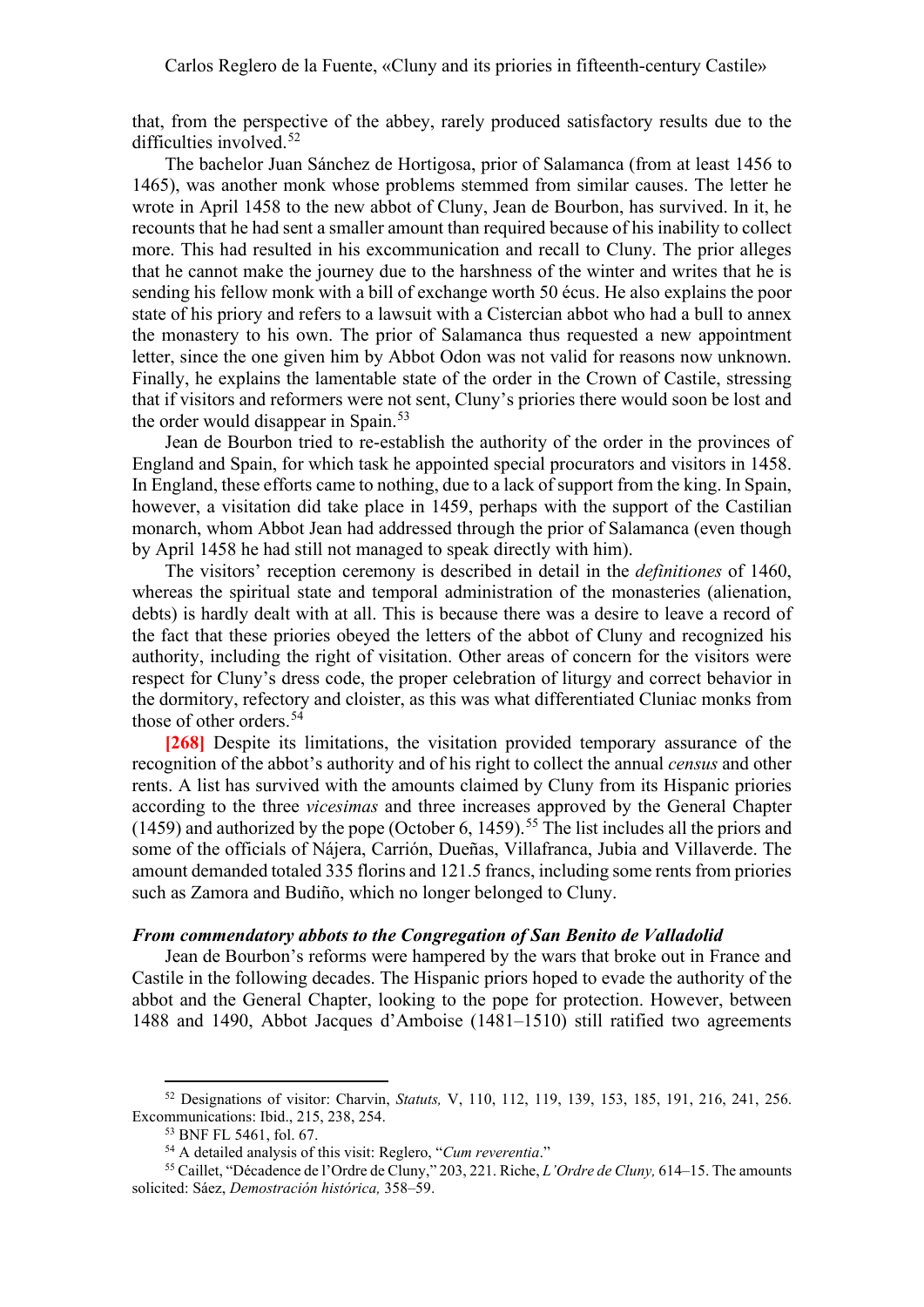that, from the perspective of the abbey, rarely produced satisfactory results due to the difficulties involved. [52](#page-7-0)

The bachelor Juan Sánchez de Hortigosa, prior of Salamanca (from at least 1456 to 1465), was another monk whose problems stemmed from similar causes. The letter he wrote in April 1458 to the new abbot of Cluny, Jean de Bourbon, has survived. In it, he recounts that he had sent a smaller amount than required because of his inability to collect more. This had resulted in his excommunication and recall to Cluny. The prior alleges that he cannot make the journey due to the harshness of the winter and writes that he is sending his fellow monk with a bill of exchange worth 50 écus. He also explains the poor state of his priory and refers to a lawsuit with a Cistercian abbot who had a bull to annex the monastery to his own. The prior of Salamanca thus requested a new appointment letter, since the one given him by Abbot Odon was not valid for reasons now unknown. Finally, he explains the lamentable state of the order in the Crown of Castile, stressing that if visitors and reformers were not sent, Cluny's priories there would soon be lost and the order would disappear in Spain.<sup>[53](#page-7-1)</sup>

Jean de Bourbon tried to re-establish the authority of the order in the provinces of England and Spain, for which task he appointed special procurators and visitors in 1458. In England, these efforts came to nothing, due to a lack of support from the king. In Spain, however, a visitation did take place in 1459, perhaps with the support of the Castilian monarch, whom Abbot Jean had addressed through the prior of Salamanca (even though by April 1458 he had still not managed to speak directly with him).

The visitors' reception ceremony is described in detail in the *definitiones* of 1460, whereas the spiritual state and temporal administration of the monasteries (alienation, debts) is hardly dealt with at all. This is because there was a desire to leave a record of the fact that these priories obeyed the letters of the abbot of Cluny and recognized his authority, including the right of visitation. Other areas of concern for the visitors were respect for Cluny's dress code, the proper celebration of liturgy and correct behavior in the dormitory, refectory and cloister, as this was what differentiated Cluniac monks from those of other orders. [54](#page-7-2)

**[268]** Despite its limitations, the visitation provided temporary assurance of the recognition of the abbot's authority and of his right to collect the annual *census* and other rents. A list has survived with the amounts claimed by Cluny from its Hispanic priories according to the three *vicesimas* and three increases approved by the General Chapter (1459) and authorized by the pope (October 6, 1459).<sup>[55](#page-7-3)</sup> The list includes all the priors and some of the officials of Nájera, Carrión, Dueñas, Villafranca, Jubia and Villaverde. The amount demanded totaled 335 florins and 121.5 francs, including some rents from priories such as Zamora and Budiño, which no longer belonged to Cluny.

#### *From commendatory abbots to the Congregation of San Benito de Valladolid*

Jean de Bourbon's reforms were hampered by the wars that broke out in France and Castile in the following decades. The Hispanic priors hoped to evade the authority of the abbot and the General Chapter, looking to the pope for protection. However, between 1488 and 1490, Abbot Jacques d'Amboise (1481–1510) still ratified two agreements

<span id="page-7-0"></span><sup>52</sup> Designations of visitor: Charvin, *Statuts,* V, 110, 112, 119, 139, 153, 185, 191, 216, 241, 256. Excommunications: Ibid., 215, 238, 254.

<sup>53</sup> BNF FL 5461, fol. 67.

<sup>54</sup> A detailed analysis of this visit: Reglero, "*Cum reverentia*."

<span id="page-7-3"></span><span id="page-7-2"></span><span id="page-7-1"></span><sup>55</sup> Caillet, "Décadence de l'Ordre de Cluny," 203, 221. Riche, *L'Ordre de Cluny,* 614–15. The amounts solicited: Sáez, *Demostración histórica,* 358–59.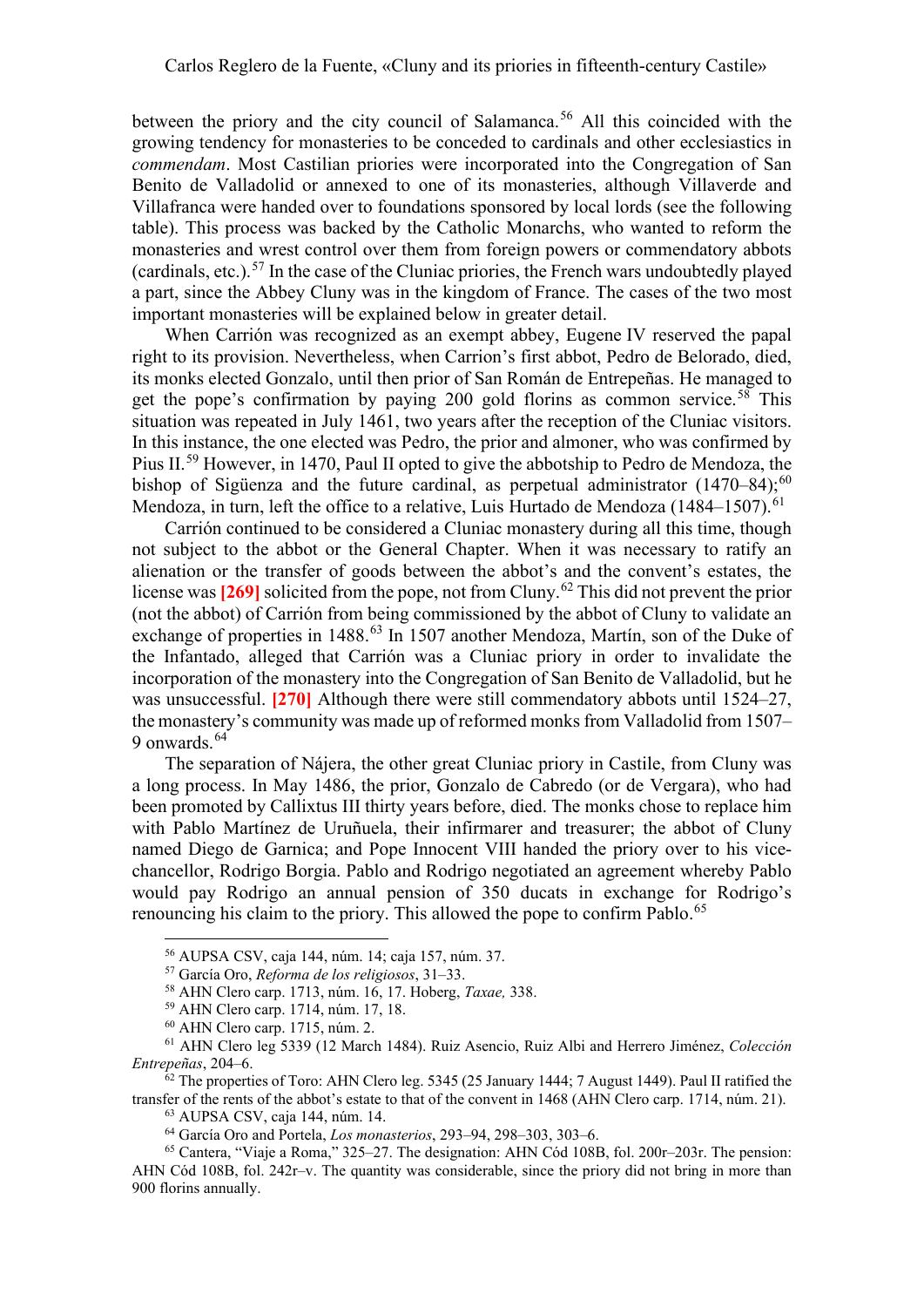between the priory and the city council of Salamanca. [56](#page-8-0) All this coincided with the growing tendency for monasteries to be conceded to cardinals and other ecclesiastics in *commendam*. Most Castilian priories were incorporated into the Congregation of San Benito de Valladolid or annexed to one of its monasteries, although Villaverde and Villafranca were handed over to foundations sponsored by local lords (see the following table). This process was backed by the Catholic Monarchs, who wanted to reform the monasteries and wrest control over them from foreign powers or commendatory abbots (cardinals, etc.).<sup>[57](#page-8-1)</sup> In the case of the Cluniac priories, the French wars undoubtedly played a part, since the Abbey Cluny was in the kingdom of France. The cases of the two most important monasteries will be explained below in greater detail.

When Carrión was recognized as an exempt abbey, Eugene IV reserved the papal right to its provision. Nevertheless, when Carrion's first abbot, Pedro de Belorado, died, its monks elected Gonzalo, until then prior of San Román de Entrepeñas. He managed to get the pope's confirmation by paying 200 gold florins as common service.<sup>[58](#page-8-2)</sup> This situation was repeated in July 1461, two years after the reception of the Cluniac visitors. In this instance, the one elected was Pedro, the prior and almoner, who was confirmed by Pius II.<sup>[59](#page-8-3)</sup> However, in 1470, Paul II opted to give the abbotship to Pedro de Mendoza, the bishop of Sigüenza and the future cardinal, as perpetual administrator  $(1470-84)$ ;<sup>[60](#page-8-4)</sup> Mendoza, in turn, left the office to a relative, Luis Hurtado de Mendoza (1484–1507).<sup>[61](#page-8-5)</sup>

Carrión continued to be considered a Cluniac monastery during all this time, though not subject to the abbot or the General Chapter. When it was necessary to ratify an alienation or the transfer of goods between the abbot's and the convent's estates, the license was [269] solicited from the pope, not from Cluny.<sup>[62](#page-8-6)</sup> This did not prevent the prior (not the abbot) of Carrión from being commissioned by the abbot of Cluny to validate an exchange of properties in 1488.<sup>[63](#page-8-7)</sup> In 1507 another Mendoza, Martín, son of the Duke of the Infantado, alleged that Carrión was a Cluniac priory in order to invalidate the incorporation of the monastery into the Congregation of San Benito de Valladolid, but he was unsuccessful. **[270]** Although there were still commendatory abbots until 1524–27, the monastery's community was made up of reformed monks from Valladolid from 1507– 9 onwards. [64](#page-8-8)

The separation of Nájera, the other great Cluniac priory in Castile, from Cluny was a long process. In May 1486, the prior, Gonzalo de Cabredo (or de Vergara), who had been promoted by Callixtus III thirty years before, died. The monks chose to replace him with Pablo Martínez de Uruñuela, their infirmarer and treasurer; the abbot of Cluny named Diego de Garnica; and Pope Innocent VIII handed the priory over to his vicechancellor, Rodrigo Borgia. Pablo and Rodrigo negotiated an agreement whereby Pablo would pay Rodrigo an annual pension of 350 ducats in exchange for Rodrigo's renouncing his claim to the priory. This allowed the pope to confirm Pablo.<sup>[65](#page-8-9)</sup>

<sup>56</sup> AUPSA CSV, caja 144, núm. 14; caja 157, núm. 37.

<sup>57</sup> García Oro, *Reforma de los religiosos*, 31–33.

<sup>58</sup> AHN Clero carp. 1713, núm. 16, 17. Hoberg, *Taxae,* 338.

<sup>59</sup> AHN Clero carp. 1714, núm. 17, 18.

<sup>60</sup> AHN Clero carp. 1715, núm. 2.

<span id="page-8-5"></span><span id="page-8-4"></span><span id="page-8-3"></span><span id="page-8-2"></span><span id="page-8-1"></span><span id="page-8-0"></span><sup>61</sup> AHN Clero leg 5339 (12 March 1484). Ruiz Asencio, Ruiz Albi and Herrero Jiménez, *Colección Entrepeñas*, 204–6.

<span id="page-8-6"></span> $62$  The properties of Toro: AHN Clero leg. 5345 (25 January 1444; 7 August 1449). Paul II ratified the transfer of the rents of the abbot's estate to that of the convent in 1468 (AHN Clero carp. 1714, núm. 21).

 $^{63}$  AUPSA CSV, caja 144, núm. 14.<br> $^{64}$  García Oro and Portela, Los monasterios, 293-94, 298-303, 303-6.

<span id="page-8-9"></span><span id="page-8-8"></span><span id="page-8-7"></span><sup>&</sup>lt;sup>65</sup> Cantera, "Viaje a Roma," 325–27. The designation: AHN Cód 108B, fol. 200r–203r. The pension: AHN Cód 108B, fol. 242r–v. The quantity was considerable, since the priory did not bring in more than 900 florins annually.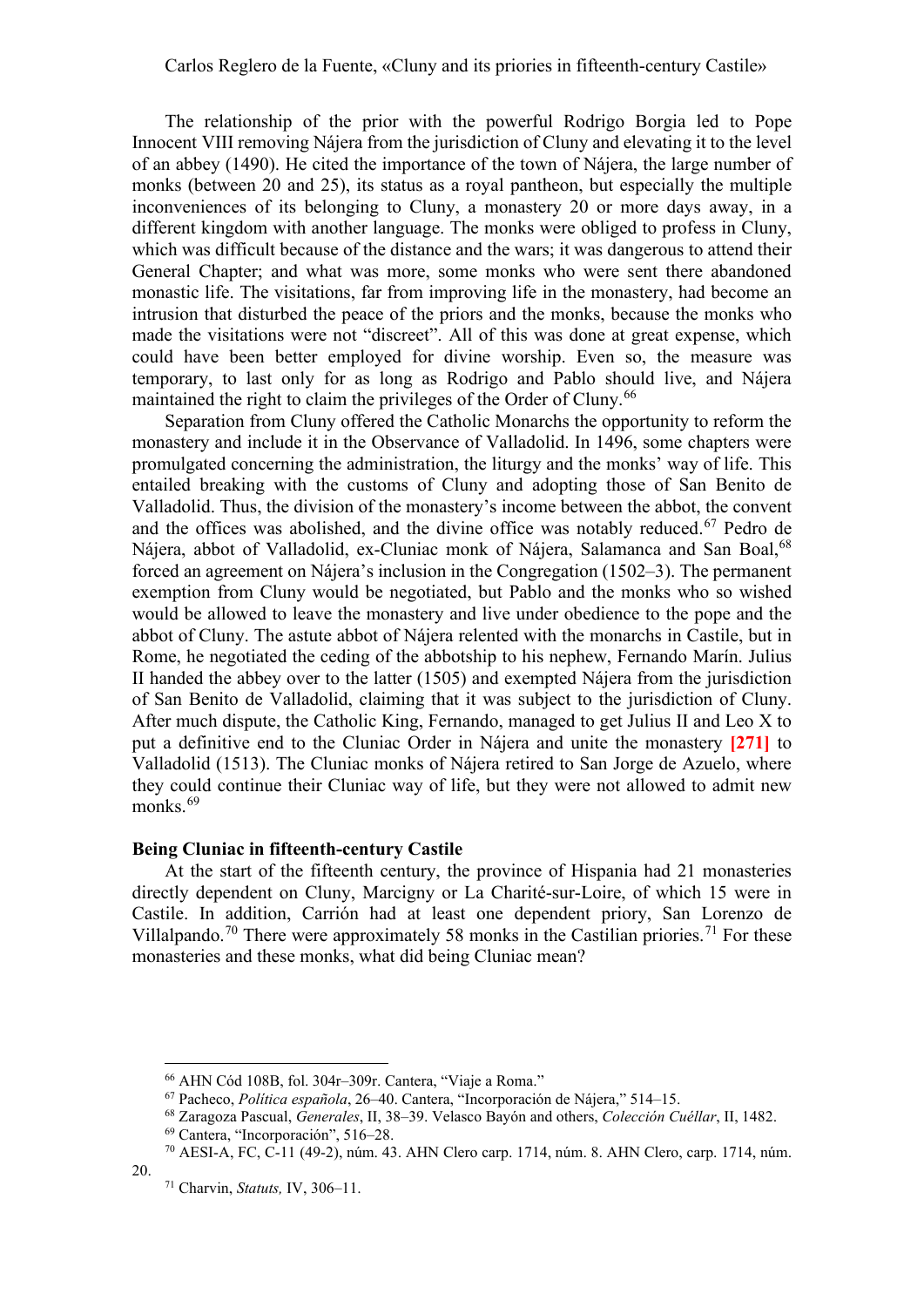The relationship of the prior with the powerful Rodrigo Borgia led to Pope Innocent VIII removing Nájera from the jurisdiction of Cluny and elevating it to the level of an abbey (1490). He cited the importance of the town of Nájera, the large number of monks (between 20 and 25), its status as a royal pantheon, but especially the multiple inconveniences of its belonging to Cluny, a monastery 20 or more days away, in a different kingdom with another language. The monks were obliged to profess in Cluny, which was difficult because of the distance and the wars; it was dangerous to attend their General Chapter; and what was more, some monks who were sent there abandoned monastic life. The visitations, far from improving life in the monastery, had become an intrusion that disturbed the peace of the priors and the monks, because the monks who made the visitations were not "discreet". All of this was done at great expense, which could have been better employed for divine worship. Even so, the measure was temporary, to last only for as long as Rodrigo and Pablo should live, and Nájera maintained the right to claim the privileges of the Order of Cluny.<sup>[66](#page-9-0)</sup>

Separation from Cluny offered the Catholic Monarchs the opportunity to reform the monastery and include it in the Observance of Valladolid. In 1496, some chapters were promulgated concerning the administration, the liturgy and the monks' way of life. This entailed breaking with the customs of Cluny and adopting those of San Benito de Valladolid. Thus, the division of the monastery's income between the abbot, the convent and the offices was abolished, and the divine office was notably reduced. [67](#page-9-1) Pedro de Nájera, abbot of Valladolid, ex-Cluniac monk of Nájera, Salamanca and San Boal, [68](#page-9-2) forced an agreement on Nájera's inclusion in the Congregation (1502–3). The permanent exemption from Cluny would be negotiated, but Pablo and the monks who so wished would be allowed to leave the monastery and live under obedience to the pope and the abbot of Cluny. The astute abbot of Nájera relented with the monarchs in Castile, but in Rome, he negotiated the ceding of the abbotship to his nephew, Fernando Marín. Julius II handed the abbey over to the latter (1505) and exempted Nájera from the jurisdiction of San Benito de Valladolid, claiming that it was subject to the jurisdiction of Cluny. After much dispute, the Catholic King, Fernando, managed to get Julius II and Leo X to put a definitive end to the Cluniac Order in Nájera and unite the monastery **[271]** to Valladolid (1513). The Cluniac monks of Nájera retired to San Jorge de Azuelo, where they could continue their Cluniac way of life, but they were not allowed to admit new monks. [69](#page-9-3)

## **Being Cluniac in fifteenth-century Castile**

At the start of the fifteenth century, the province of Hispania had 21 monasteries directly dependent on Cluny, Marcigny or La Charité-sur-Loire, of which 15 were in Castile. In addition, Carrión had at least one dependent priory, San Lorenzo de Villalpando.<sup>[70](#page-9-4)</sup> There were approximately 58 monks in the Castilian priories.<sup>[71](#page-9-5)</sup> For these monasteries and these monks, what did being Cluniac mean?

<sup>66</sup> AHN Cód 108B, fol. 304r–309r. Cantera, "Viaje a Roma."

<sup>67</sup> Pacheco, *Política española*, 26–40. Cantera, "Incorporación de Nájera," 514–15.

<sup>68</sup> Zaragoza Pascual, *Generales*, II, 38–39. Velasco Bayón and others, *Colección Cuéllar*, II, 1482.

<sup>69</sup> Cantera, "Incorporación", 516–28.

<span id="page-9-5"></span><span id="page-9-4"></span><span id="page-9-3"></span><span id="page-9-2"></span><span id="page-9-1"></span><span id="page-9-0"></span><sup>70</sup> AESI-A, FC, C-11 (49-2), núm. 43. AHN Clero carp. 1714, núm. 8. AHN Clero, carp. 1714, núm. 20.

<sup>71</sup> Charvin, *Statuts,* IV, 306–11.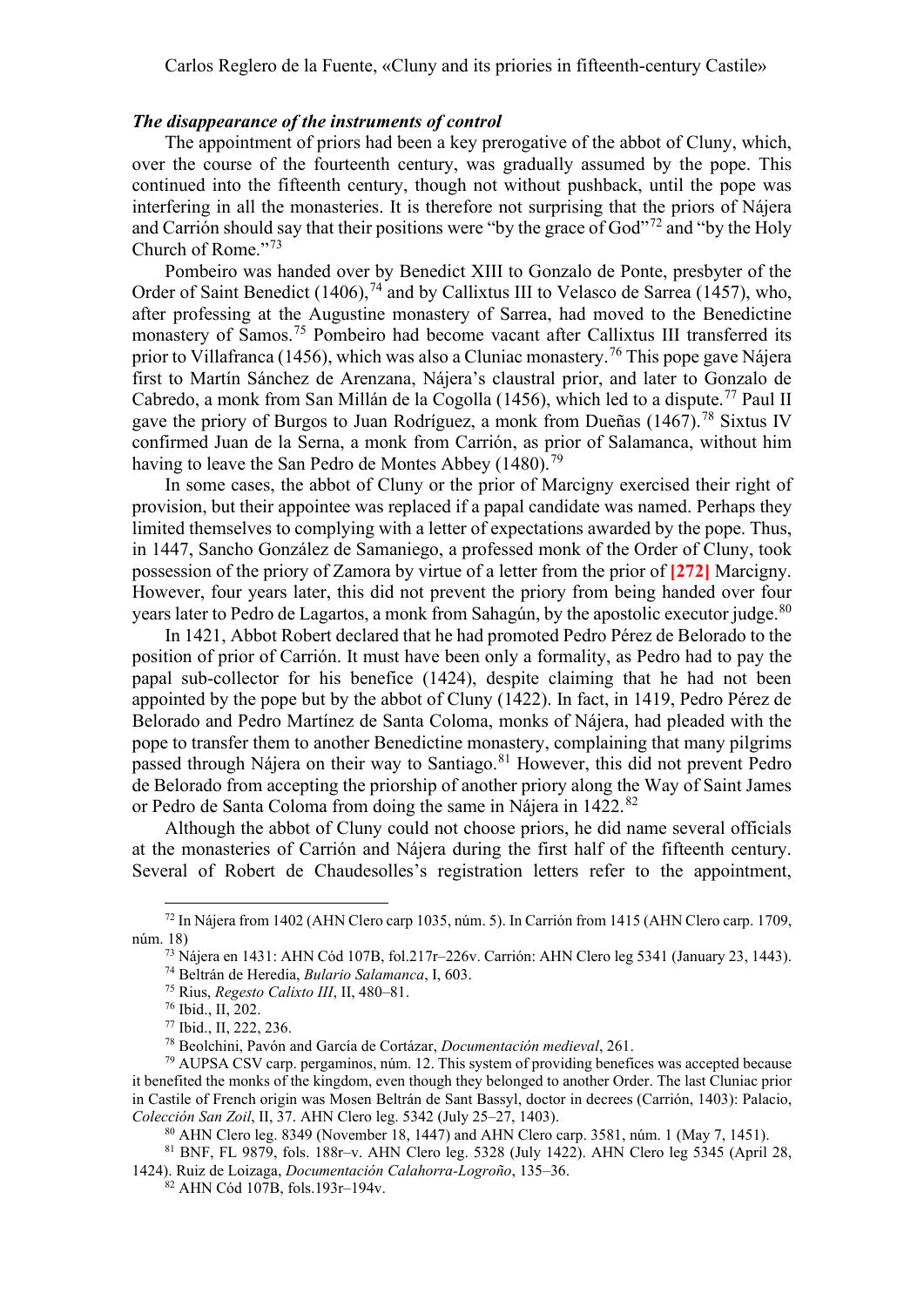#### *The disappearance of the instruments of control*

The appointment of priors had been a key prerogative of the abbot of Cluny, which, over the course of the fourteenth century, was gradually assumed by the pope. This continued into the fifteenth century, though not without pushback, until the pope was interfering in all the monasteries. It is therefore not surprising that the priors of Nájera and Carrión should say that their positions were "by the grace of God"<sup>[72](#page-10-0)</sup> and "by the Holy" Church of Rome."[73](#page-10-1)

Pombeiro was handed over by Benedict XIII to Gonzalo de Ponte, presbyter of the Order of Saint Benedict (1406),<sup>[74](#page-10-2)</sup> and by Callixtus III to Velasco de Sarrea (1457), who, after professing at the Augustine monastery of Sarrea, had moved to the Benedictine monastery of Samos.[75](#page-10-3) Pombeiro had become vacant after Callixtus III transferred its prior to Villafranca (1456), which was also a Cluniac monastery. [76](#page-10-4) This pope gave Nájera first to Martín Sánchez de Arenzana, Nájera's claustral prior, and later to Gonzalo de Cabredo, a monk from San Millán de la Cogolla (1456), which led to a dispute. [77](#page-10-5) Paul II gave the priory of Burgos to Juan Rodríguez, a monk from Dueñas (1467). [78](#page-10-6) Sixtus IV confirmed Juan de la Serna, a monk from Carrión, as prior of Salamanca, without him having to leave the San Pedro de Montes Abbey (1480).<sup>[79](#page-10-7)</sup>

In some cases, the abbot of Cluny or the prior of Marcigny exercised their right of provision, but their appointee was replaced if a papal candidate was named. Perhaps they limited themselves to complying with a letter of expectations awarded by the pope. Thus, in 1447, Sancho González de Samaniego, a professed monk of the Order of Cluny, took possession of the priory of Zamora by virtue of a letter from the prior of **[272]** Marcigny. However, four years later, this did not prevent the priory from being handed over four years later to Pedro de Lagartos, a monk from Sahagún, by the apostolic executor judge. $^{\rm 80}$  $^{\rm 80}$  $^{\rm 80}$ 

In 1421, Abbot Robert declared that he had promoted Pedro Pérez de Belorado to the position of prior of Carrión. It must have been only a formality, as Pedro had to pay the papal sub-collector for his benefice (1424), despite claiming that he had not been appointed by the pope but by the abbot of Cluny (1422). In fact, in 1419, Pedro Pérez de Belorado and Pedro Martínez de Santa Coloma, monks of Nájera, had pleaded with the pope to transfer them to another Benedictine monastery, complaining that many pilgrims passed through Nájera on their way to Santiago.<sup>[81](#page-10-9)</sup> However, this did not prevent Pedro de Belorado from accepting the priorship of another priory along the Way of Saint James or Pedro de Santa Coloma from doing the same in Nájera in 1422.<sup>[82](#page-10-10)</sup>

Although the abbot of Cluny could not choose priors, he did name several officials at the monasteries of Carrión and Nájera during the first half of the fifteenth century. Several of Robert de Chaudesolles's registration letters refer to the appointment,

<span id="page-10-3"></span><span id="page-10-2"></span><span id="page-10-1"></span><span id="page-10-0"></span><sup>72</sup> In Nájera from 1402 (AHN Clero carp 1035, núm. 5). In Carrión from 1415 (AHN Clero carp. 1709, núm. 18)

<sup>73</sup> Nájera en 1431: AHN Cód 107B, fol.217r–226v. Carrión: AHN Clero leg 5341 (January 23, 1443).

<sup>74</sup> Beltrán de Heredia, *Bulario Salamanca*, I, 603.

<sup>75</sup> Rius, *Regesto Calixto III*, II, 480–81.

<sup>76</sup> Ibid., II, 202.

<sup>77</sup> Ibid., II, 222, 236.

<sup>78</sup> Beolchini, Pavón and García de Cortázar, *Documentación medieval*, 261.

<span id="page-10-7"></span><span id="page-10-6"></span><span id="page-10-5"></span><span id="page-10-4"></span> $79$  AUPSA CSV carp. pergaminos, núm. 12. This system of providing benefices was accepted because it benefited the monks of the kingdom, even though they belonged to another Order. The last Cluniac prior in Castile of French origin was Mosen Beltrán de Sant Bassyl, doctor in decrees (Carrión, 1403): Palacio, *Colección San Zoil*, II, 37. AHN Clero leg. 5342 (July 25–27, 1403).

<sup>80</sup> AHN Clero leg. 8349 (November 18, 1447) and AHN Clero carp. 3581, núm. 1 (May 7, 1451).

<sup>81</sup> BNF, FL 9879, fols. 188r–v. AHN Clero leg. 5328 (July 1422). AHN Clero leg 5345 (April 28,

<span id="page-10-10"></span><span id="page-10-9"></span><span id="page-10-8"></span><sup>1424).</sup> Ruiz de Loizaga, *Documentación Calahorra-Logroño*, 135–36.

<sup>82</sup> AHN Cód 107B, fols.193r–194v.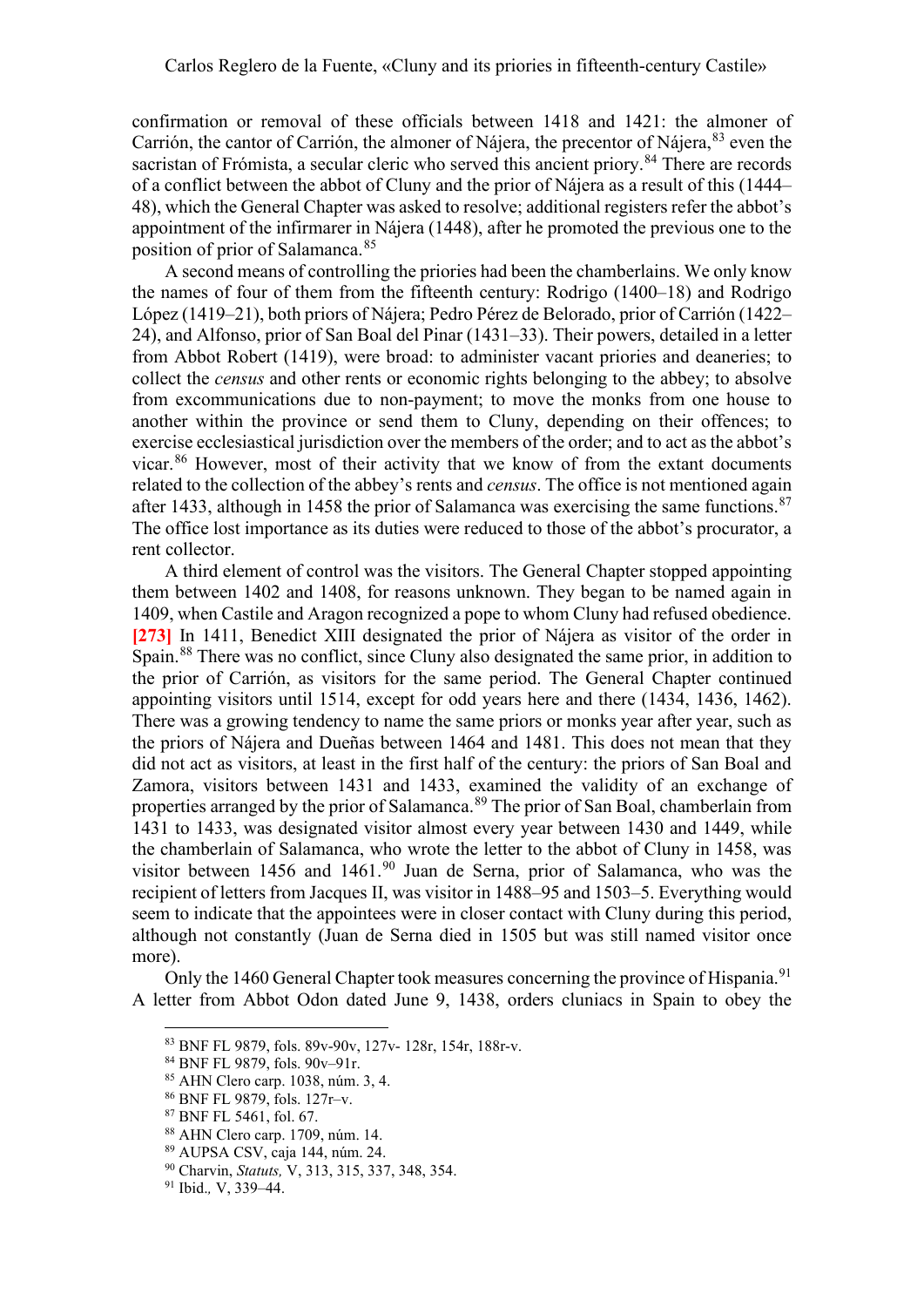confirmation or removal of these officials between 1418 and 1421: the almoner of Carrión, the cantor of Carrión, the almoner of Nájera, the precentor of Nájera, [83](#page-11-0) even the sacristan of Frómista, a secular cleric who served this ancient priory.<sup>[84](#page-11-1)</sup> There are records of a conflict between the abbot of Cluny and the prior of Nájera as a result of this (1444– 48), which the General Chapter was asked to resolve; additional registers refer the abbot's appointment of the infirmarer in Nájera (1448), after he promoted the previous one to the position of prior of Salamanca.<sup>[85](#page-11-2)</sup>

A second means of controlling the priories had been the chamberlains. We only know the names of four of them from the fifteenth century: Rodrigo (1400–18) and Rodrigo López (1419–21), both priors of Nájera; Pedro Pérez de Belorado, prior of Carrión (1422– 24), and Alfonso, prior of San Boal del Pinar (1431–33). Their powers, detailed in a letter from Abbot Robert (1419), were broad: to administer vacant priories and deaneries; to collect the *census* and other rents or economic rights belonging to the abbey; to absolve from excommunications due to non-payment; to move the monks from one house to another within the province or send them to Cluny, depending on their offences; to exercise ecclesiastical jurisdiction over the members of the order; and to act as the abbot's vicar. [86](#page-11-3) However, most of their activity that we know of from the extant documents related to the collection of the abbey's rents and *census*. The office is not mentioned again after 1433, although in 1458 the prior of Salamanca was exercising the same functions.<sup>[87](#page-11-4)</sup> The office lost importance as its duties were reduced to those of the abbot's procurator, a rent collector.

A third element of control was the visitors. The General Chapter stopped appointing them between 1402 and 1408, for reasons unknown. They began to be named again in 1409, when Castile and Aragon recognized a pope to whom Cluny had refused obedience. **[273]** In 1411, Benedict XIII designated the prior of Nájera as visitor of the order in Spain.<sup>[88](#page-11-5)</sup> There was no conflict, since Cluny also designated the same prior, in addition to the prior of Carrión, as visitors for the same period. The General Chapter continued appointing visitors until 1514, except for odd years here and there (1434, 1436, 1462). There was a growing tendency to name the same priors or monks year after year, such as the priors of Nájera and Dueñas between 1464 and 1481. This does not mean that they did not act as visitors, at least in the first half of the century: the priors of San Boal and Zamora, visitors between 1431 and 1433, examined the validity of an exchange of properties arranged by the prior of Salamanca.<sup>[89](#page-11-6)</sup> The prior of San Boal, chamberlain from 1431 to 1433, was designated visitor almost every year between 1430 and 1449, while the chamberlain of Salamanca, who wrote the letter to the abbot of Cluny in 1458, was visitor between 1456 and  $1461<sup>90</sup>$  $1461<sup>90</sup>$  $1461<sup>90</sup>$  Juan de Serna, prior of Salamanca, who was the recipient of letters from Jacques II, was visitor in 1488–95 and 1503–5. Everything would seem to indicate that the appointees were in closer contact with Cluny during this period, although not constantly (Juan de Serna died in 1505 but was still named visitor once more).

<span id="page-11-1"></span><span id="page-11-0"></span>Only the 1460 General Chapter took measures concerning the province of Hispania.<sup>[91](#page-11-8)</sup> A letter from Abbot Odon dated June 9, 1438, orders cluniacs in Spain to obey the

<sup>83</sup> BNF FL 9879, fols. 89v-90v, 127v- 128r, 154r, 188r-v.

<sup>84</sup> BNF FL 9879, fols. 90v–91r.

<span id="page-11-2"></span><sup>85</sup> AHN Clero carp. 1038, núm. 3, 4.

<span id="page-11-3"></span><sup>86</sup> BNF FL 9879, fols. 127r–v.

<span id="page-11-4"></span><sup>87</sup> BNF FL 5461, fol. 67.

<span id="page-11-5"></span><sup>88</sup> AHN Clero carp. 1709, núm. 14.

<span id="page-11-6"></span><sup>89</sup> AUPSA CSV, caja 144, núm. 24.

<span id="page-11-7"></span><sup>90</sup> Charvin, *Statuts,* V, 313, 315, 337, 348, 354.

<span id="page-11-8"></span><sup>91</sup> Ibid.*,* V, 339–44.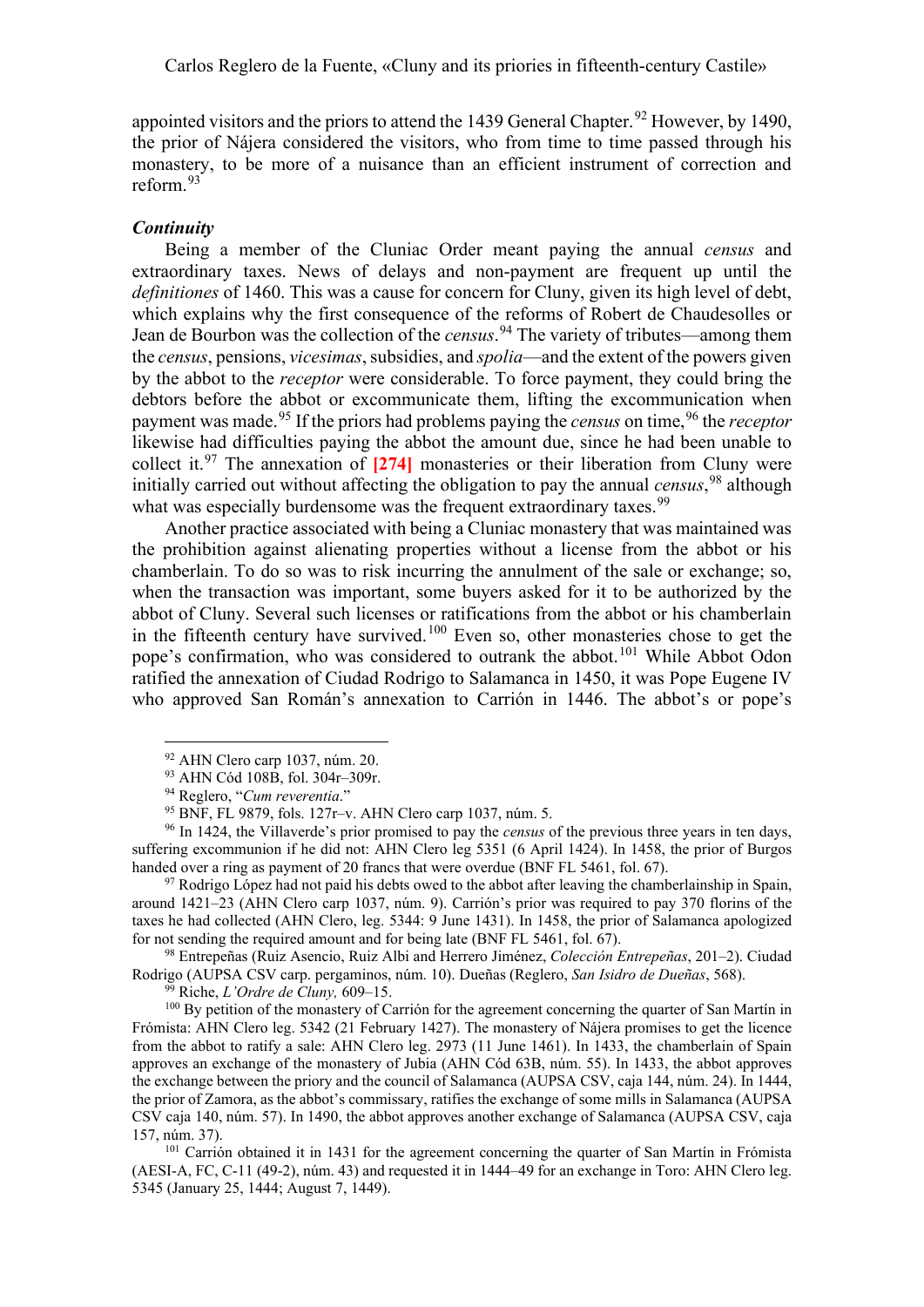appointed visitors and the priors to attend the 1439 General Chapter.<sup>[92](#page-12-0)</sup> However, by 1490, the prior of Nájera considered the visitors, who from time to time passed through his monastery, to be more of a nuisance than an efficient instrument of correction and reform. [93](#page-12-1)

#### *Continuity*

Being a member of the Cluniac Order meant paying the annual *census* and extraordinary taxes. News of delays and non-payment are frequent up until the *definitiones* of 1460. This was a cause for concern for Cluny, given its high level of debt, which explains why the first consequence of the reforms of Robert de Chaudesolles or Jean de Bourbon was the collection of the *census*. [94](#page-12-2) The variety of tributes—among them the *census*, pensions, *vicesimas*, subsidies, and *spolia*—and the extent of the powers given by the abbot to the *receptor* were considerable. To force payment, they could bring the debtors before the abbot or excommunicate them, lifting the excommunication when payment was made. [95](#page-12-3) If the priors had problems paying the *census* on time, [96](#page-12-4) the *receptor* likewise had difficulties paying the abbot the amount due, since he had been unable to collect it. [97](#page-12-5) The annexation of **[274]** monasteries or their liberation from Cluny were initially carried out without affecting the obligation to pay the annual *census*, [98](#page-12-6) although what was especially burdensome was the frequent extraordinary taxes.<sup>[99](#page-12-7)</sup>

Another practice associated with being a Cluniac monastery that was maintained was the prohibition against alienating properties without a license from the abbot or his chamberlain. To do so was to risk incurring the annulment of the sale or exchange; so, when the transaction was important, some buyers asked for it to be authorized by the abbot of Cluny. Several such licenses or ratifications from the abbot or his chamberlain in the fifteenth century have survived.<sup>[100](#page-12-8)</sup> Even so, other monasteries chose to get the pope's confirmation, who was considered to outrank the abbot.<sup>[101](#page-12-9)</sup> While Abbot Odon ratified the annexation of Ciudad Rodrigo to Salamanca in 1450, it was Pope Eugene IV who approved San Román's annexation to Carrión in 1446. The abbot's or pope's

<span id="page-12-5"></span> $97$  Rodrigo López had not paid his debts owed to the abbot after leaving the chamberlainship in Spain, around 1421–23 (AHN Clero carp 1037, núm. 9). Carrión's prior was required to pay 370 florins of the taxes he had collected (AHN Clero, leg. 5344: 9 June 1431). In 1458, the prior of Salamanca apologized for not sending the required amount and for being late (BNF FL 5461, fol. 67).

<span id="page-12-6"></span><sup>98</sup> Entrepeñas (Ruiz Asencio, Ruiz Albi and Herrero Jiménez, *Colección Entrepeñas*, 201–2). Ciudad Rodrigo (AUPSA CSV carp. pergaminos, núm. 10). Dueñas (Reglero, *San Isidro de Dueñas*, 568). 99 Riche, *L'Ordre de Cluny,* 609–15.

<span id="page-12-8"></span><span id="page-12-7"></span><sup>100</sup> By petition of the monastery of Carrión for the agreement concerning the quarter of San Martín in Frómista: AHN Clero leg. 5342 (21 February 1427). The monastery of Nájera promises to get the licence from the abbot to ratify a sale: AHN Clero leg. 2973 (11 June 1461). In 1433, the chamberlain of Spain approves an exchange of the monastery of Jubia (AHN Cód 63B, núm. 55). In 1433, the abbot approves the exchange between the priory and the council of Salamanca (AUPSA CSV, caja 144, núm. 24). In 1444, the prior of Zamora, as the abbot's commissary, ratifies the exchange of some mills in Salamanca (AUPSA CSV caja 140, núm. 57). In 1490, the abbot approves another exchange of Salamanca (AUPSA CSV, caja 157, núm. 37).

<span id="page-12-9"></span><sup>101</sup> Carrión obtained it in 1431 for the agreement concerning the quarter of San Martín in Frómista (AESI-A, FC, C-11 (49-2), núm. 43) and requested it in 1444–49 for an exchange in Toro: AHN Clero leg. 5345 (January 25, 1444; August 7, 1449).

<sup>92</sup> AHN Clero carp 1037, núm. 20.

<sup>93</sup> AHN Cód 108B, fol. 304r–309r.

<sup>94</sup> Reglero, "*Cum reverentia*."

<sup>95</sup> BNF, FL 9879, fols. 127r–v. AHN Clero carp 1037, núm. 5.

<span id="page-12-4"></span><span id="page-12-3"></span><span id="page-12-2"></span><span id="page-12-1"></span><span id="page-12-0"></span><sup>96</sup> In 1424, the Villaverde's prior promised to pay the *census* of the previous three years in ten days, suffering excommunion if he did not: AHN Clero leg 5351 (6 April 1424). In 1458, the prior of Burgos handed over a ring as payment of 20 francs that were overdue (BNF FL 5461, fol. 67).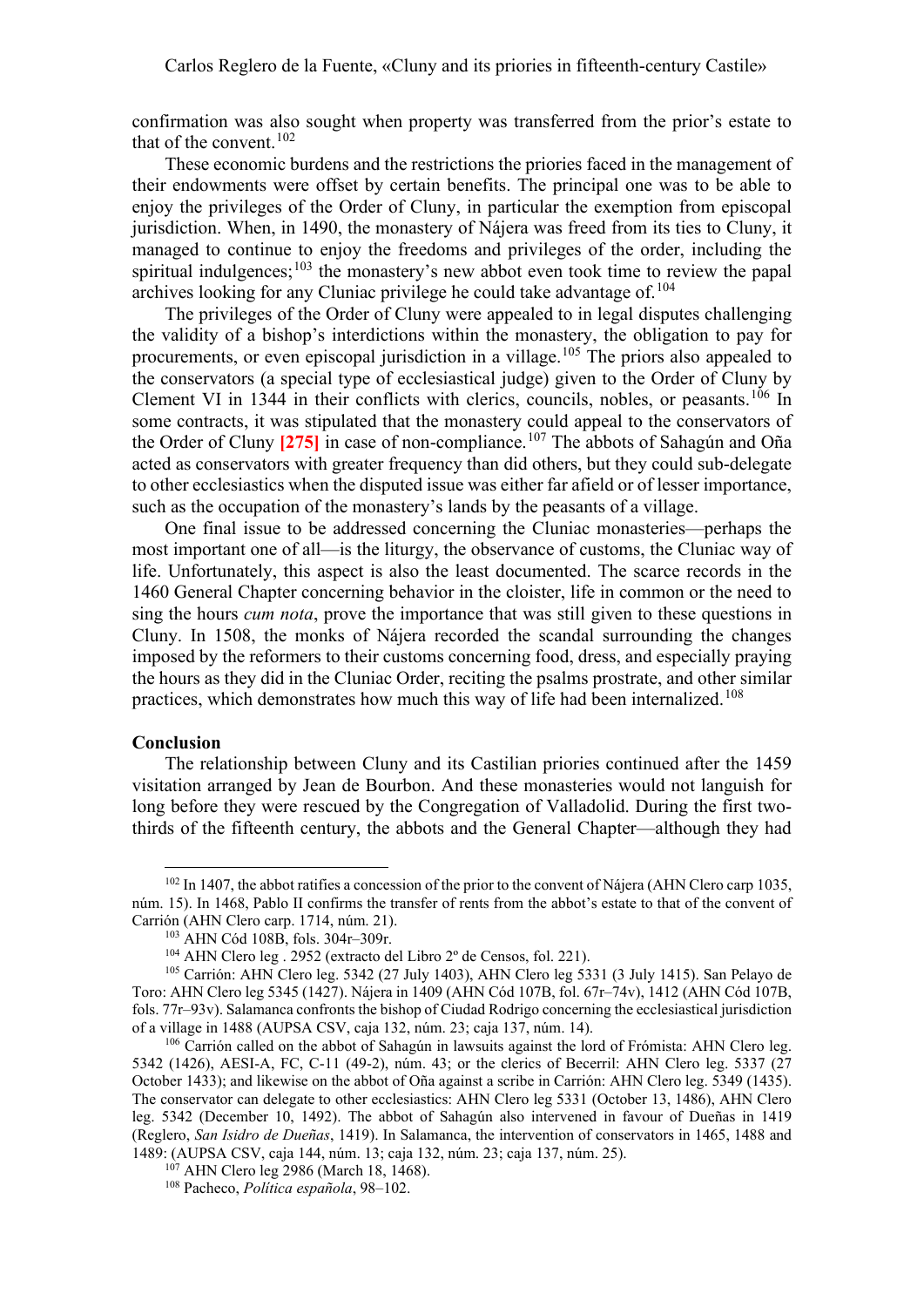confirmation was also sought when property was transferred from the prior's estate to that of the convent. [102](#page-13-0)

These economic burdens and the restrictions the priories faced in the management of their endowments were offset by certain benefits. The principal one was to be able to enjoy the privileges of the Order of Cluny, in particular the exemption from episcopal jurisdiction. When, in 1490, the monastery of Nájera was freed from its ties to Cluny, it managed to continue to enjoy the freedoms and privileges of the order, including the spiritual indulgences;  $103$  the monastery's new abbot even took time to review the papal archives looking for any Cluniac privilege he could take advantage of.<sup>[104](#page-13-2)</sup>

The privileges of the Order of Cluny were appealed to in legal disputes challenging the validity of a bishop's interdictions within the monastery, the obligation to pay for procurements, or even episcopal jurisdiction in a village.<sup>[105](#page-13-3)</sup> The priors also appealed to the conservators (a special type of ecclesiastical judge) given to the Order of Cluny by Clement VI in 1344 in their conflicts with clerics, councils, nobles, or peasants.<sup>[106](#page-13-4)</sup> In some contracts, it was stipulated that the monastery could appeal to the conservators of the Order of Cluny **[275]** in case of non-compliance. [107](#page-13-5) The abbots of Sahagún and Oña acted as conservators with greater frequency than did others, but they could sub-delegate to other ecclesiastics when the disputed issue was either far afield or of lesser importance, such as the occupation of the monastery's lands by the peasants of a village.

One final issue to be addressed concerning the Cluniac monasteries—perhaps the most important one of all—is the liturgy, the observance of customs, the Cluniac way of life. Unfortunately, this aspect is also the least documented. The scarce records in the 1460 General Chapter concerning behavior in the cloister, life in common or the need to sing the hours *cum nota*, prove the importance that was still given to these questions in Cluny. In 1508, the monks of Nájera recorded the scandal surrounding the changes imposed by the reformers to their customs concerning food, dress, and especially praying the hours as they did in the Cluniac Order, reciting the psalms prostrate, and other similar practices, which demonstrates how much this way of life had been internalized.<sup>[108](#page-13-6)</sup>

## **Conclusion**

The relationship between Cluny and its Castilian priories continued after the 1459 visitation arranged by Jean de Bourbon. And these monasteries would not languish for long before they were rescued by the Congregation of Valladolid. During the first twothirds of the fifteenth century, the abbots and the General Chapter—although they had

<span id="page-13-0"></span> $102$  In 1407, the abbot ratifies a concession of the prior to the convent of Nájera (AHN Clero carp 1035, núm. 15). In 1468, Pablo II confirms the transfer of rents from the abbot's estate to that of the convent of Carrión (AHN Clero carp. 1714, núm. 21).

<sup>103</sup> AHN Cód 108B, fols. 304r–309r.

<sup>104</sup> AHN Clero leg . 2952 (extracto del Libro 2º de Censos, fol. 221).

<span id="page-13-3"></span><span id="page-13-2"></span><span id="page-13-1"></span><sup>105</sup> Carrión: AHN Clero leg. 5342 (27 July 1403), AHN Clero leg 5331 (3 July 1415). San Pelayo de Toro: AHN Clero leg 5345 (1427). Nájera in 1409 (AHN Cód 107B, fol. 67r–74v), 1412 (AHN Cód 107B, fols. 77r–93v). Salamanca confronts the bishop of Ciudad Rodrigo concerning the ecclesiastical jurisdiction of a village in 1488 (AUPSA CSV, caja 132, núm. 23; caja 137, núm. 14).

<span id="page-13-4"></span><sup>&</sup>lt;sup>106</sup> Carrión called on the abbot of Sahagún in lawsuits against the lord of Frómista: AHN Clero leg. 5342 (1426), AESI-A, FC, C-11 (49-2), núm. 43; or the clerics of Becerril: AHN Clero leg. 5337 (27 October 1433); and likewise on the abbot of Oña against a scribe in Carrión: AHN Clero leg. 5349 (1435). The conservator can delegate to other ecclesiastics: AHN Clero leg 5331 (October 13, 1486), AHN Clero leg. 5342 (December 10, 1492). The abbot of Sahagún also intervened in favour of Dueñas in 1419 (Reglero, *San Isidro de Dueñas*, 1419). In Salamanca, the intervention of conservators in 1465, 1488 and 1489: (AUPSA CSV, caja 144, núm. 13; caja 132, núm. 23; caja 137, núm. 25).

<span id="page-13-6"></span><span id="page-13-5"></span><sup>107</sup> AHN Clero leg 2986 (March 18, 1468). 108 Pacheco, *Política española*, 98–102.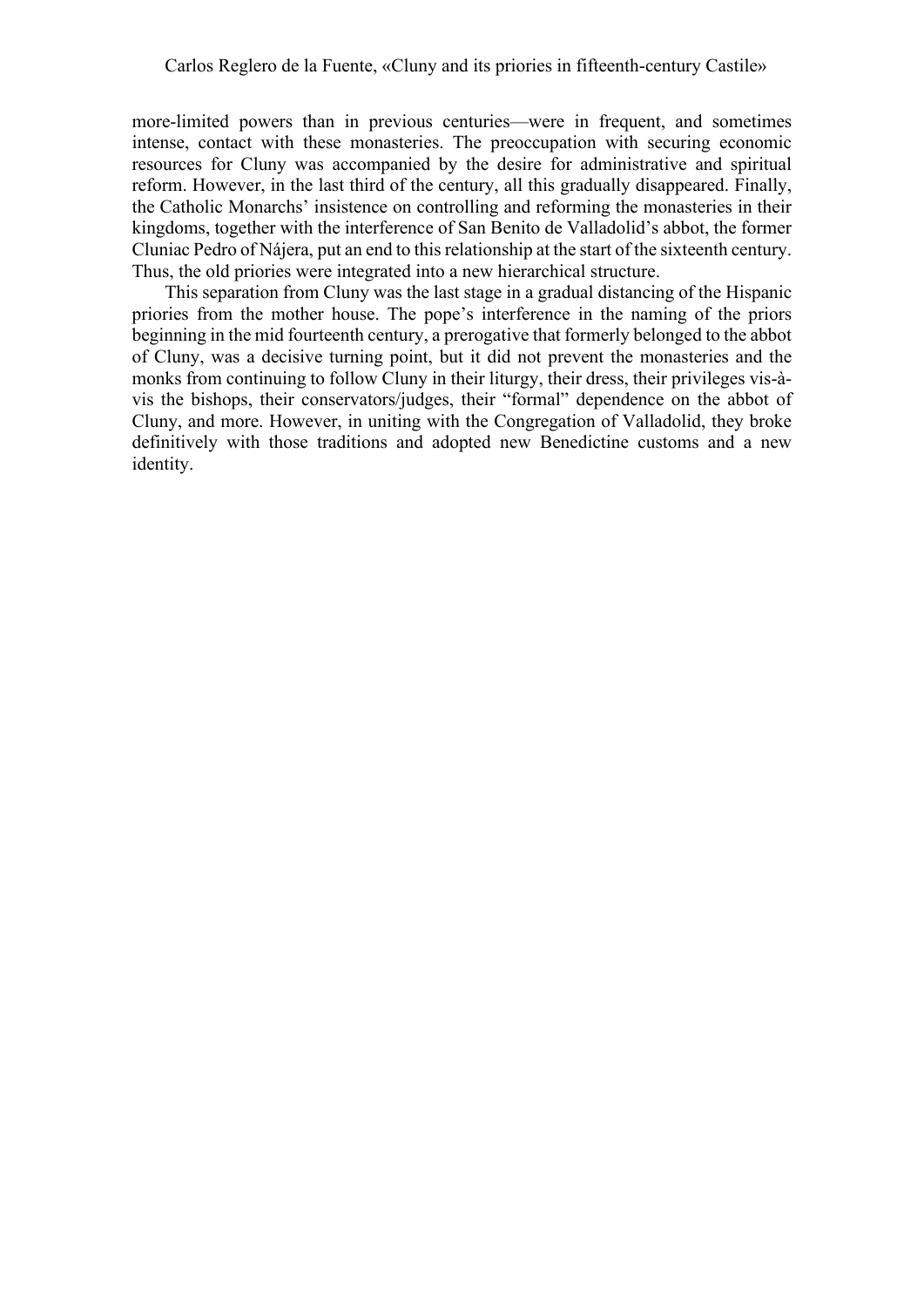more-limited powers than in previous centuries—were in frequent, and sometimes intense, contact with these monasteries. The preoccupation with securing economic resources for Cluny was accompanied by the desire for administrative and spiritual reform. However, in the last third of the century, all this gradually disappeared. Finally, the Catholic Monarchs' insistence on controlling and reforming the monasteries in their kingdoms, together with the interference of San Benito de Valladolid's abbot, the former Cluniac Pedro of Nájera, put an end to this relationship at the start of the sixteenth century. Thus, the old priories were integrated into a new hierarchical structure.

This separation from Cluny was the last stage in a gradual distancing of the Hispanic priories from the mother house. The pope's interference in the naming of the priors beginning in the mid fourteenth century, a prerogative that formerly belonged to the abbot of Cluny, was a decisive turning point, but it did not prevent the monasteries and the monks from continuing to follow Cluny in their liturgy, their dress, their privileges vis-àvis the bishops, their conservators/judges, their "formal" dependence on the abbot of Cluny, and more. However, in uniting with the Congregation of Valladolid, they broke definitively with those traditions and adopted new Benedictine customs and a new identity.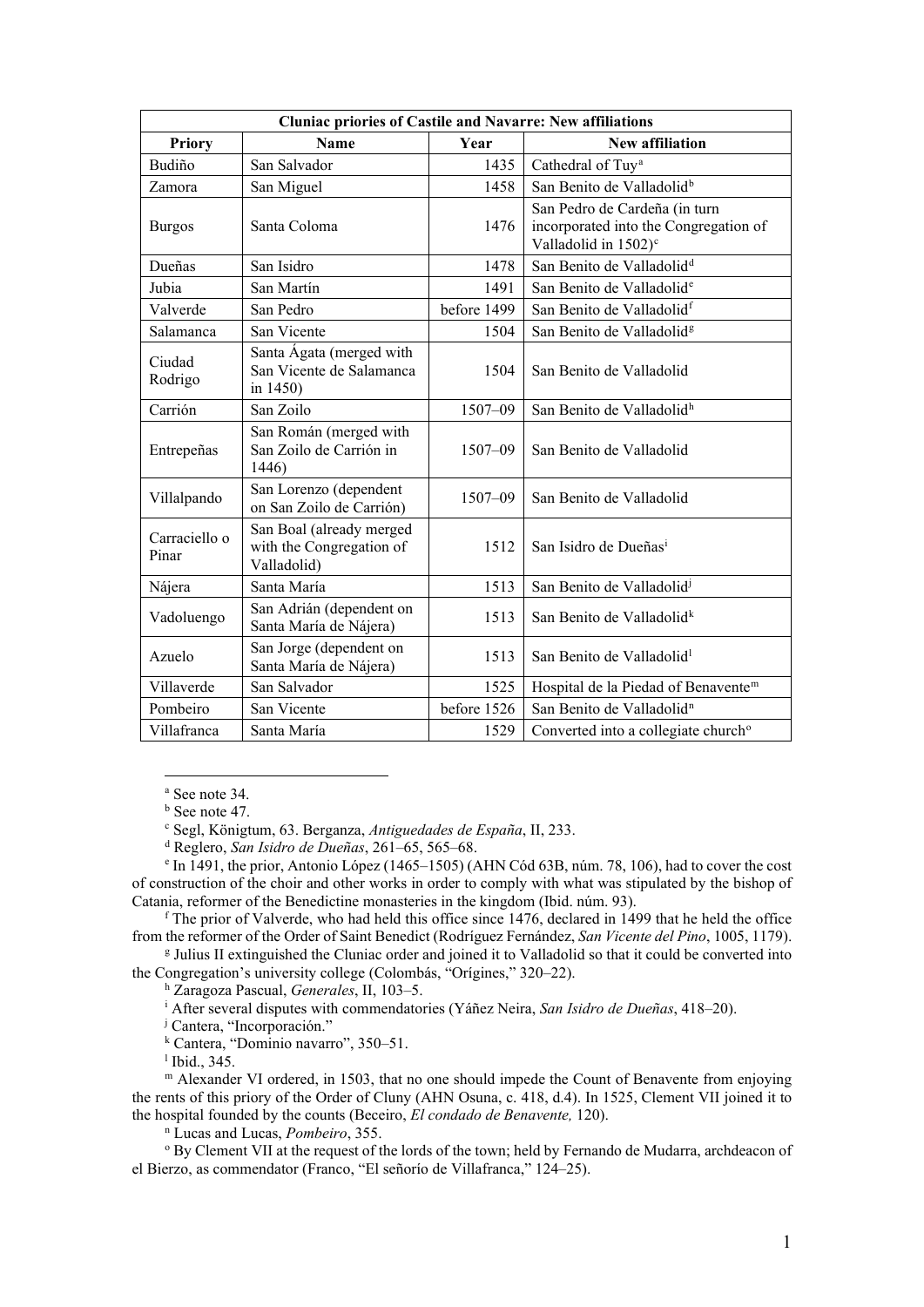| <b>Cluniac priories of Castile and Navarre: New affiliations</b> |                                                                     |             |                                                                                                            |
|------------------------------------------------------------------|---------------------------------------------------------------------|-------------|------------------------------------------------------------------------------------------------------------|
| <b>Priory</b>                                                    | <b>Name</b>                                                         | Year        | <b>New affiliation</b>                                                                                     |
| Budiño                                                           | San Salvador                                                        | 1435        | Cathedral of Tuy <sup>a</sup>                                                                              |
| Zamora                                                           | San Miguel                                                          | 1458        | San Benito de Valladolid <sup>b</sup>                                                                      |
| <b>Burgos</b>                                                    | Santa Coloma                                                        | 1476        | San Pedro de Cardeña (in turn<br>incorporated into the Congregation of<br>Valladolid in 1502) <sup>c</sup> |
| Dueñas                                                           | San Isidro                                                          | 1478        | San Benito de Valladolid <sup>d</sup>                                                                      |
| Jubia                                                            | San Martín                                                          | 1491        | San Benito de Valladolid <sup>e</sup>                                                                      |
| Valverde                                                         | San Pedro                                                           | before 1499 | San Benito de Valladolid <sup>f</sup>                                                                      |
| Salamanca                                                        | San Vicente                                                         | 1504        | San Benito de Valladolid <sup>g</sup>                                                                      |
| Ciudad<br>Rodrigo                                                | Santa Ágata (merged with<br>San Vicente de Salamanca<br>in 1450)    | 1504        | San Benito de Valladolid                                                                                   |
| Carrión                                                          | San Zoilo                                                           | 1507-09     | San Benito de Valladolid <sup>h</sup>                                                                      |
| Entrepeñas                                                       | San Román (merged with<br>San Zoilo de Carrión in<br>1446)          | $1507 - 09$ | San Benito de Valladolid                                                                                   |
| Villalpando                                                      | San Lorenzo (dependent<br>on San Zoilo de Carrión)                  | $1507 - 09$ | San Benito de Valladolid                                                                                   |
| Carraciello o<br>Pinar                                           | San Boal (already merged<br>with the Congregation of<br>Valladolid) | 1512        | San Isidro de Dueñas <sup>i</sup>                                                                          |
| Nájera                                                           | Santa María                                                         | 1513        | San Benito de Valladolid <sup>j</sup>                                                                      |
| Vadoluengo                                                       | San Adrián (dependent on<br>Santa María de Nájera)                  | 1513        | San Benito de Valladolid <sup>k</sup>                                                                      |
| Azuelo                                                           | San Jorge (dependent on<br>Santa María de Nájera)                   | 1513        | San Benito de Valladolid <sup>1</sup>                                                                      |
| Villaverde                                                       | San Salvador                                                        | 1525        | Hospital de la Piedad of Benavente <sup>m</sup>                                                            |
| Pombeiro                                                         | San Vicente                                                         | before 1526 | San Benito de Valladolid <sup>n</sup>                                                                      |
| Villafranca                                                      | Santa María                                                         | 1529        | Converted into a collegiate church <sup>o</sup>                                                            |

<sup>a</sup> See note 34.

<sup>b</sup> See note 47.

<sup>c</sup> Segl, Königtum, 63. Berganza, *Antiguedades de España*, II, 233.

<sup>d</sup> Reglero, *San Isidro de Dueñas*, 261–65, 565–68.

<span id="page-15-4"></span><span id="page-15-3"></span><span id="page-15-2"></span><span id="page-15-1"></span><span id="page-15-0"></span><sup>e</sup> In 1491, the prior, Antonio López (1465–1505) (AHN Cód 63B, núm. 78, 106), had to cover the cost of construction of the choir and other works in order to comply with what was stipulated by the bishop of Catania, reformer of the Benedictine monasteries in the kingdom (Ibid. núm. 93).

<span id="page-15-5"></span> $f$  The prior of Valverde, who had held this office since 1476, declared in 1499 that he held the office from the reformer of the Order of Saint Benedict (Rodríguez Fernández, *San Vicente del Pino*, 1005, 1179).

<span id="page-15-8"></span><span id="page-15-7"></span><span id="page-15-6"></span><sup>g</sup> Julius II extinguished the Cluniac order and joined it to Valladolid so that it could be converted into the Congregation's university college (Colombás, "Orígines," 320–22).

<sup>h</sup> Zaragoza Pascual, *Generales*, II, 103–5.

<sup>i</sup> After several disputes with commendatories (Yáñez Neira, *San Isidro de Dueñas*, 418–20).

<sup>j</sup> Cantera, "Incorporación."

<sup>k</sup> Cantera, "Dominio navarro", 350–51.

<sup>l</sup> Ibid., 345.

<span id="page-15-12"></span><span id="page-15-11"></span><span id="page-15-10"></span><span id="page-15-9"></span><sup>m</sup> Alexander VI ordered, in 1503, that no one should impede the Count of Benavente from enjoying the rents of this priory of the Order of Cluny (AHN Osuna, c. 418, d.4). In 1525, Clement VII joined it to the hospital founded by the counts (Beceiro, *El condado de Benavente,* 120).

<sup>n</sup> Lucas and Lucas, *Pombeiro*, 355.

<span id="page-15-14"></span><span id="page-15-13"></span><sup>o</sup> By Clement VII at the request of the lords of the town; held by Fernando de Mudarra, archdeacon of el Bierzo, as commendator (Franco, "El señorío de Villafranca," 124–25).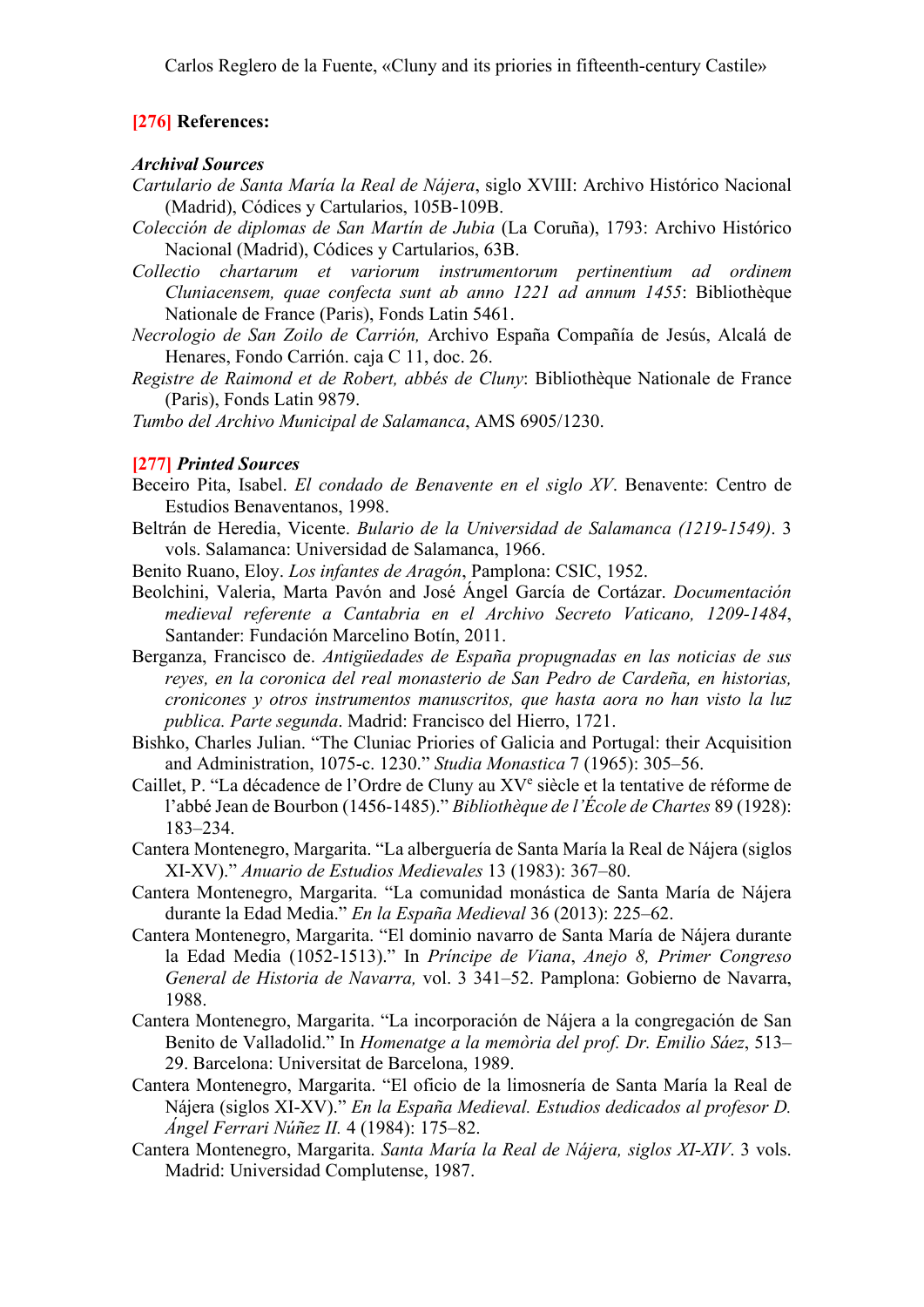## **[276] References:**

#### *Archival Sources*

- *Cartulario de Santa María la Real de Nájera*, siglo XVIII: Archivo Histórico Nacional (Madrid), Códices y Cartularios, 105B-109B.
- *Colección de diplomas de San Martín de Jubia* (La Coruña), 1793: Archivo Histórico Nacional (Madrid), Códices y Cartularios, 63B.
- *Collectio chartarum et variorum instrumentorum pertinentium ad ordinem Cluniacensem, quae confecta sunt ab anno 1221 ad annum 1455*: Bibliothèque Nationale de France (Paris), Fonds Latin 5461.
- *Necrologio de San Zoilo de Carrión,* Archivo España Compañía de Jesús, Alcalá de Henares, Fondo Carrión. caja C 11, doc. 26.
- *Registre de Raimond et de Robert, abbés de Cluny*: Bibliothèque Nationale de France (Paris), Fonds Latin 9879.
- *Tumbo del Archivo Municipal de Salamanca*, AMS 6905/1230.

## **[277]** *Printed Sources*

- Beceiro Pita, Isabel. *El condado de Benavente en el siglo XV*. Benavente: Centro de Estudios Benaventanos, 1998.
- Beltrán de Heredia, Vicente. *Bulario de la Universidad de Salamanca (1219-1549)*. 3 vols. Salamanca: Universidad de Salamanca, 1966.
- Benito Ruano, Eloy. *Los infantes de Aragón*, Pamplona: CSIC, 1952.
- Beolchini, Valeria, Marta Pavón and José Ángel García de Cortázar. *Documentación medieval referente a Cantabria en el Archivo Secreto Vaticano, 1209-1484*, Santander: Fundación Marcelino Botín, 2011.
- Berganza, Francisco de. *Antigüedades de España propugnadas en las noticias de sus reyes, en la coronica del real monasterio de San Pedro de Cardeña, en historias, cronicones y otros instrumentos manuscritos, que hasta aora no han visto la luz publica. Parte segunda*. Madrid: Francisco del Hierro, 1721.
- Bishko, Charles Julian. "The Cluniac Priories of Galicia and Portugal: their Acquisition and Administration, 1075-c. 1230." *Studia Monastica* 7 (1965): 305–56.
- Caillet, P. "La décadence de l'Ordre de Cluny au XVe siècle et la tentative de réforme de l'abbé Jean de Bourbon (1456-1485)." *Bibliothèque de l'École de Chartes* 89 (1928): 183–234.
- Cantera Montenegro, Margarita. "La alberguería de Santa María la Real de Nájera (siglos XI-XV)." *Anuario de Estudios Medievales* 13 (1983): 367–80.
- Cantera Montenegro, Margarita. "La comunidad monástica de Santa María de Nájera durante la Edad Media." *En la España Medieval* 36 (2013): 225–62.
- Cantera Montenegro, Margarita. "El dominio navarro de Santa María de Nájera durante la Edad Media (1052-1513)." In *Príncipe de Viana*, *Anejo 8, Primer Congreso General de Historia de Navarra,* vol. 3 341–52. Pamplona: Gobierno de Navarra, 1988.
- Cantera Montenegro, Margarita. "La incorporación de Nájera a la congregación de San Benito de Valladolid." In *Homenatge a la memòria del prof. Dr. Emilio Sáez*, 513– 29. Barcelona: Universitat de Barcelona, 1989.
- Cantera Montenegro, Margarita. "El oficio de la limosnería de Santa María la Real de Nájera (siglos XI-XV)." *En la España Medieval. Estudios dedicados al profesor D. Ángel Ferrari Núñez II.* 4 (1984): 175–82.
- Cantera Montenegro, Margarita. *Santa María la Real de Nájera, siglos XI-XIV*. 3 vols. Madrid: Universidad Complutense, 1987.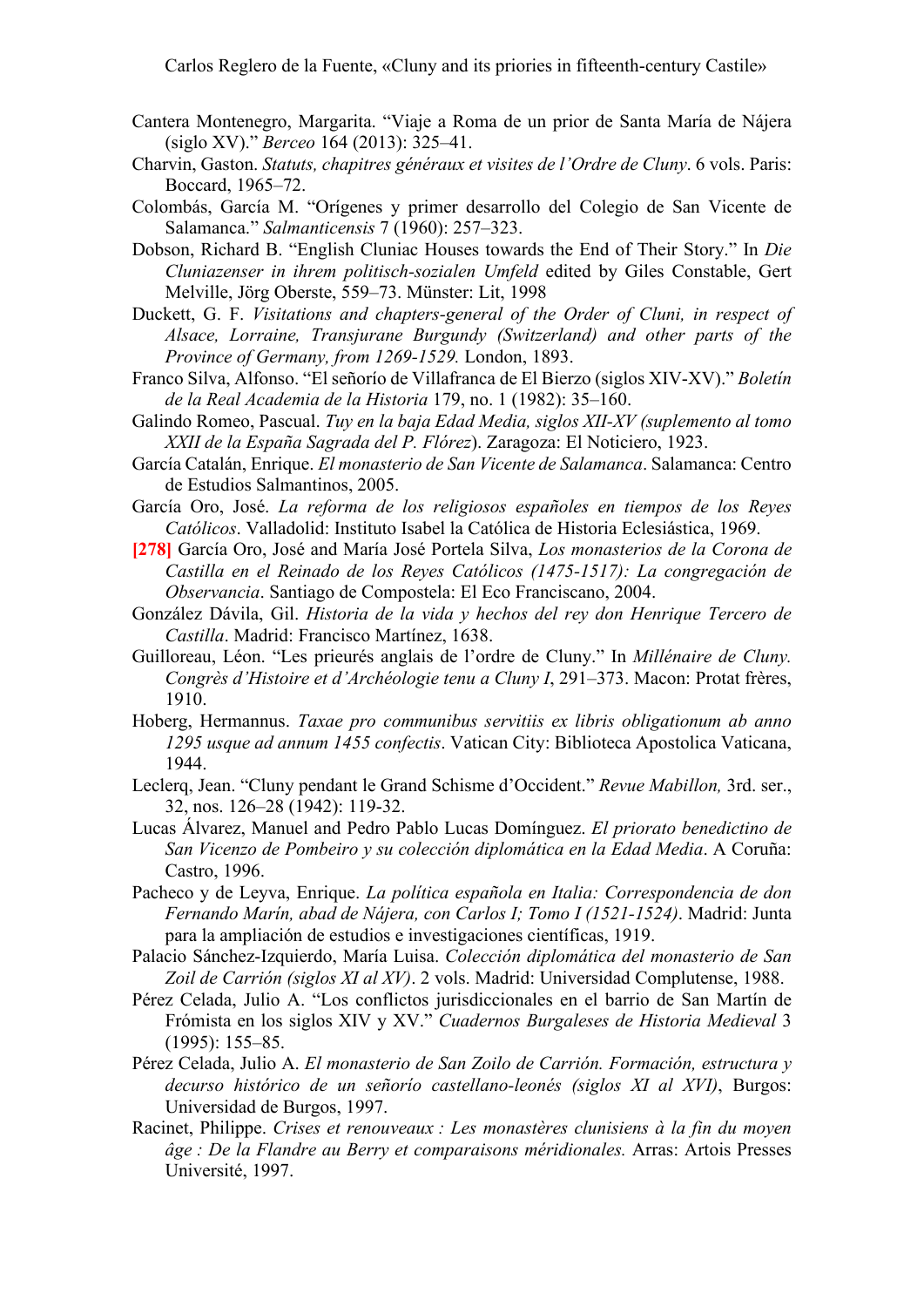- Cantera Montenegro, Margarita. "Viaje a Roma de un prior de Santa María de Nájera (siglo XV)." *Berceo* 164 (2013): 325–41.
- Charvin, Gaston. *Statuts, chapitres généraux et visites de l'Ordre de Cluny*. 6 vols. Paris: Boccard, 1965–72.
- Colombás, García M. "Orígenes y primer desarrollo del Colegio de San Vicente de Salamanca." *Salmanticensis* 7 (1960): 257–323.
- Dobson, Richard B. "English Cluniac Houses towards the End of Their Story." In *Die Cluniazenser in ihrem politisch-sozialen Umfeld* edited by Giles Constable, Gert Melville, Jörg Oberste, 559–73. Münster: Lit, 1998
- Duckett, G. F. *Visitations and chapters-general of the Order of Cluni, in respect of Alsace, Lorraine, Transjurane Burgundy (Switzerland) and other parts of the Province of Germany, from 1269-1529.* London, 1893.
- Franco Silva, Alfonso. "El señorío de Villafranca de El Bierzo (siglos XIV-XV)." *Boletín de la Real Academia de la Historia* 179, no. 1 (1982): 35–160.
- Galindo Romeo, Pascual. *Tuy en la baja Edad Media, siglos XII-XV (suplemento al tomo XXII de la España Sagrada del P. Flórez*). Zaragoza: El Noticiero, 1923.
- García Catalán, Enrique. *El monasterio de San Vicente de Salamanca*. Salamanca: Centro de Estudios Salmantinos, 2005.
- García Oro, José. *La reforma de los religiosos españoles en tiempos de los Reyes Católicos*. Valladolid: Instituto Isabel la Católica de Historia Eclesiástica, 1969.
- **[278]** García Oro, José and María José Portela Silva, *Los monasterios de la Corona de Castilla en el Reinado de los Reyes Católicos (1475-1517): La congregación de Observancia*. Santiago de Compostela: El Eco Franciscano, 2004.
- González Dávila, Gil. *Historia de la vida y hechos del rey don Henrique Tercero de Castilla*. Madrid: Francisco Martínez, 1638.
- Guilloreau, Léon. "Les prieurés anglais de l'ordre de Cluny." In *Millénaire de Cluny. Congrès d'Histoire et d'Archéologie tenu a Cluny I*, 291–373. Macon: Protat frères, 1910.
- Hoberg, Hermannus. *Taxae pro communibus servitiis ex libris obligationum ab anno 1295 usque ad annum 1455 confectis*. Vatican City: Biblioteca Apostolica Vaticana, 1944.
- Leclerq, Jean. "Cluny pendant le Grand Schisme d'Occident." *Revue Mabillon,* 3rd. ser., 32, nos. 126–28 (1942): 119-32.
- Lucas Álvarez, Manuel and Pedro Pablo Lucas Domínguez. *El priorato benedictino de San Vicenzo de Pombeiro y su colección diplomática en la Edad Media*. A Coruña: Castro, 1996.
- Pacheco y de Leyva, Enrique. *La política española en Italia: Correspondencia de don Fernando Marín, abad de Nájera, con Carlos I; Tomo I (1521-1524)*. Madrid: Junta para la ampliación de estudios e investigaciones científicas, 1919.
- Palacio Sánchez-Izquierdo, María Luisa. *Colección diplomática del monasterio de San Zoil de Carrión (siglos XI al XV)*. 2 vols. Madrid: Universidad Complutense, 1988.
- Pérez Celada, Julio A. "Los conflictos jurisdiccionales en el barrio de San Martín de Frómista en los siglos XIV y XV." *Cuadernos Burgaleses de Historia Medieval* 3 (1995): 155–85.
- Pérez Celada, Julio A. *El monasterio de San Zoilo de Carrión. Formación, estructura y decurso histórico de un señorío castellano-leonés (siglos XI al XVI)*, Burgos: Universidad de Burgos, 1997.
- Racinet, Philippe. *Crises et renouveaux : Les monastères clunisiens à la fin du moyen âge : De la Flandre au Berry et comparaisons méridionales.* Arras: Artois Presses Université, 1997.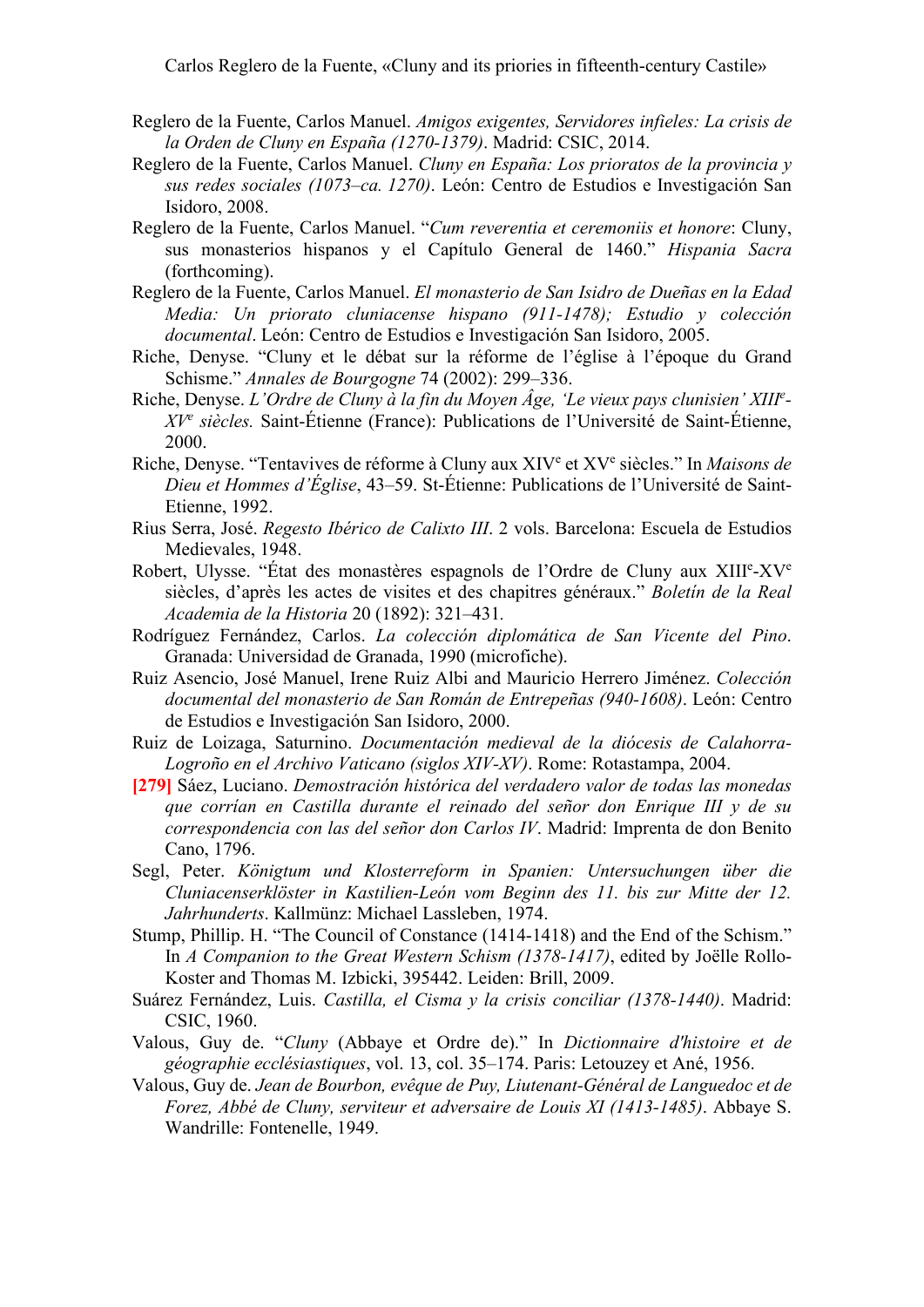- Reglero de la Fuente, Carlos Manuel. *Amigos exigentes, Servidores infieles: La crisis de la Orden de Cluny en España (1270-1379)*. Madrid: CSIC, 2014.
- Reglero de la Fuente, Carlos Manuel. *Cluny en España: Los prioratos de la provincia y sus redes sociales (1073–ca. 1270)*. León: Centro de Estudios e Investigación San Isidoro, 2008.
- Reglero de la Fuente, Carlos Manuel. "*Cum reverentia et ceremoniis et honore*: Cluny, sus monasterios hispanos y el Capítulo General de 1460." *Hispania Sacra*  (forthcoming).
- Reglero de la Fuente, Carlos Manuel. *El monasterio de San Isidro de Dueñas en la Edad Media: Un priorato cluniacense hispano (911-1478); Estudio y colección documental*. León: Centro de Estudios e Investigación San Isidoro, 2005.
- Riche, Denyse. "Cluny et le débat sur la réforme de l'église à l'époque du Grand Schisme." *Annales de Bourgogne* 74 (2002): 299–336.
- Riche, Denyse. *L'Ordre de Cluny à la fin du Moyen Âge, 'Le vieux pays clunisien' XIII e - XVe siècles.* Saint-Étienne (France): Publications de l'Université de Saint-Étienne, 2000.
- Riche, Denyse. "Tentavives de réforme à Cluny aux XIVe et XVe siècles." In *Maisons de Dieu et Hommes d'Église*, 43–59. St-Étienne: Publications de l'Université de Saint-Etienne, 1992.
- Rius Serra, José. *Regesto Ibérico de Calixto III*. 2 vols. Barcelona: Escuela de Estudios Medievales, 1948.
- Robert, Ulysse. "État des monastères espagnols de l'Ordre de Cluny aux XIII<sup>e</sup>-XV<sup>e</sup> siècles, d'après les actes de visites et des chapitres généraux." *Boletín de la Real Academia de la Historia* 20 (1892): 321–431*.*
- Rodríguez Fernández, Carlos. *La colección diplomática de San Vicente del Pino*. Granada: Universidad de Granada, 1990 (microfiche).
- Ruiz Asencio, José Manuel, Irene Ruiz Albi and Mauricio Herrero Jiménez. *Colección documental del monasterio de San Román de Entrepeñas (940-1608)*. León: Centro de Estudios e Investigación San Isidoro, 2000.
- Ruiz de Loizaga, Saturnino. *Documentación medieval de la diócesis de Calahorra-Logroño en el Archivo Vaticano (siglos XIV-XV)*. Rome: Rotastampa, 2004.
- **[279]** Sáez, Luciano. *Demostración histórica del verdadero valor de todas las monedas que corrían en Castilla durante el reinado del señor don Enrique III y de su correspondencia con las del señor don Carlos IV*. Madrid: Imprenta de don Benito Cano, 1796.
- Segl, Peter. *Königtum und Klosterreform in Spanien: Untersuchungen über die Cluniacenserklöster in Kastilien-León vom Beginn des 11. bis zur Mitte der 12. Jahrhunderts*. Kallmünz: Michael Lassleben, 1974.
- Stump, Phillip. H. "The Council of Constance (1414-1418) and the End of the Schism." In *A Companion to the Great Western Schism (1378-1417)*, edited by Joëlle Rollo-Koster and Thomas M. Izbicki, 395442. Leiden: Brill, 2009.
- Suárez Fernández, Luis. *Castilla, el Cisma y la crisis conciliar (1378-1440)*. Madrid: CSIC, 1960.
- Valous, Guy de. "*Cluny* (Abbaye et Ordre de)." In *Dictionnaire d'histoire et de géographie ecclésiastiques*, vol. 13, col. 35–174. Paris: Letouzey et Ané, 1956.
- Valous, Guy de. *Jean de Bourbon, evêque de Puy, Liutenant-Général de Languedoc et de Forez, Abbé de Cluny, serviteur et adversaire de Louis XI (1413-1485)*. Abbaye S. Wandrille: Fontenelle, 1949.